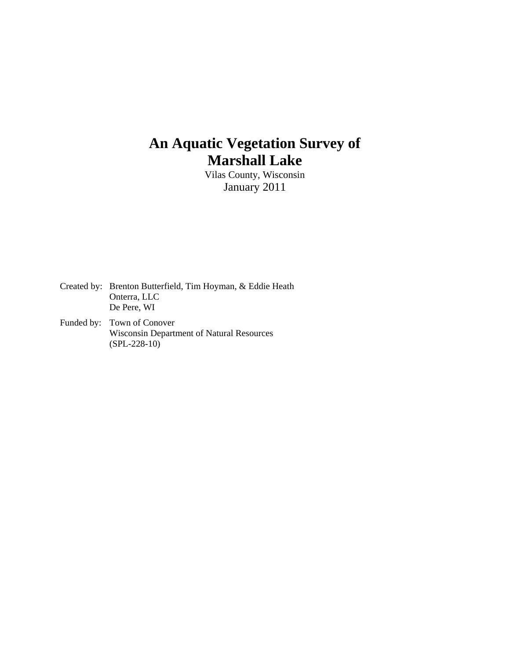# **An Aquatic Vegetation Survey of Marshall Lake**

Vilas County, Wisconsin January 2011

Created by: Brenton Butterfield, Tim Hoyman, & Eddie Heath Onterra, LLC De Pere, WI

Funded by: Town of Conover Wisconsin Department of Natural Resources (SPL-228-10)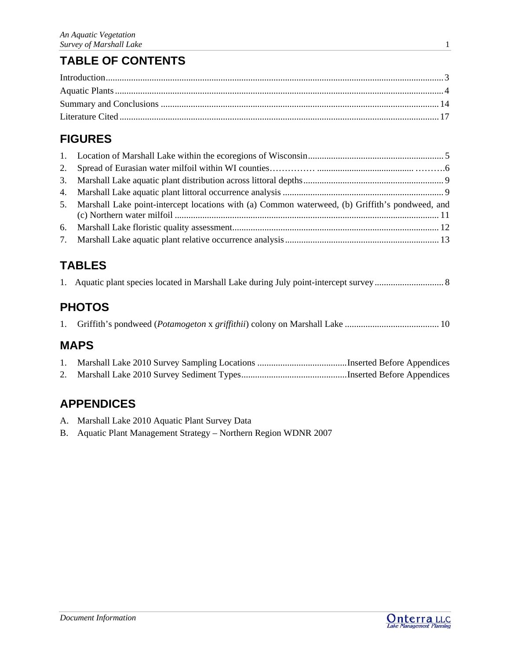# **TABLE OF CONTENTS**

# **FIGURES**

| 5. Marshall Lake point-intercept locations with (a) Common waterweed, (b) Griffith's pondweed, and |  |
|----------------------------------------------------------------------------------------------------|--|
|                                                                                                    |  |
|                                                                                                    |  |

# **TABLES**

# **PHOTOS**

|--|--|--|

# **MAPS**

# **APPENDICES**

- A. Marshall Lake 2010 Aquatic Plant Survey Data
- B. Aquatic Plant Management Strategy Northern Region WDNR 2007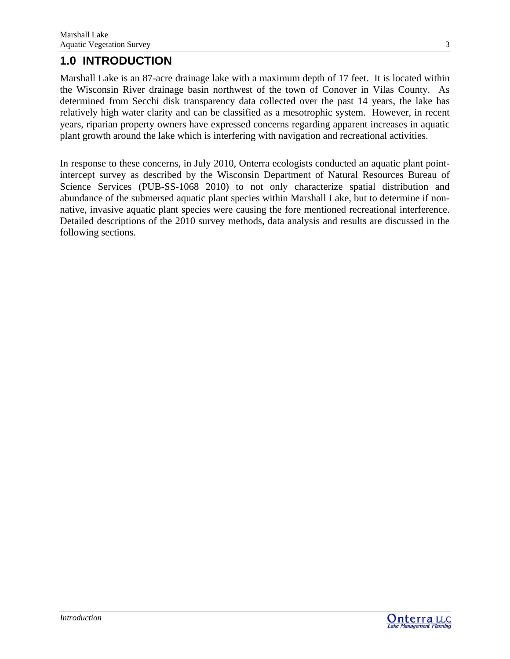# **1.0 INTRODUCTION**

Marshall Lake is an 87-acre drainage lake with a maximum depth of 17 feet. It is located within the Wisconsin River drainage basin northwest of the town of Conover in Vilas County. As determined from Secchi disk transparency data collected over the past 14 years, the lake has relatively high water clarity and can be classified as a mesotrophic system. However, in recent years, riparian property owners have expressed concerns regarding apparent increases in aquatic plant growth around the lake which is interfering with navigation and recreational activities.

In response to these concerns, in July 2010, Onterra ecologists conducted an aquatic plant pointintercept survey as described by the Wisconsin Department of Natural Resources Bureau of Science Services (PUB-SS-1068 2010) to not only characterize spatial distribution and abundance of the submersed aquatic plant species within Marshall Lake, but to determine if nonnative, invasive aquatic plant species were causing the fore mentioned recreational interference. Detailed descriptions of the 2010 survey methods, data analysis and results are discussed in the following sections.



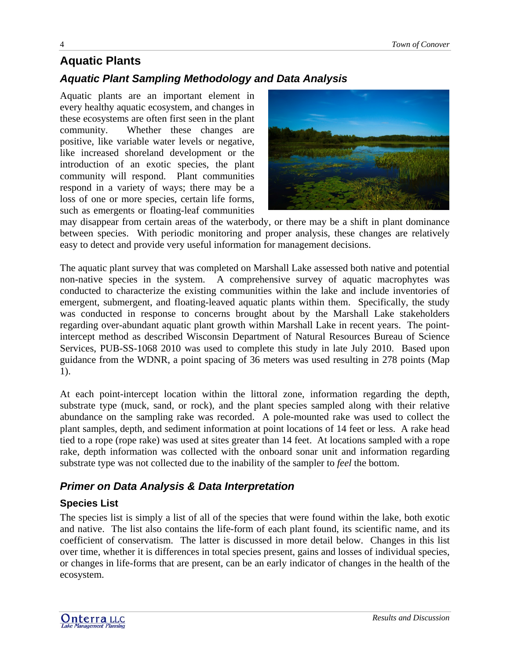# **Aquatic Plants**

## *Aquatic Plant Sampling Methodology and Data Analysis*

Aquatic plants are an important element in every healthy aquatic ecosystem, and changes in these ecosystems are often first seen in the plant community. Whether these changes are positive, like variable water levels or negative, like increased shoreland development or the introduction of an exotic species, the plant community will respond. Plant communities respond in a variety of ways; there may be a loss of one or more species, certain life forms, such as emergents or floating-leaf communities



may disappear from certain areas of the waterbody, or there may be a shift in plant dominance between species. With periodic monitoring and proper analysis, these changes are relatively easy to detect and provide very useful information for management decisions.

The aquatic plant survey that was completed on Marshall Lake assessed both native and potential non-native species in the system. A comprehensive survey of aquatic macrophytes was conducted to characterize the existing communities within the lake and include inventories of emergent, submergent, and floating-leaved aquatic plants within them. Specifically, the study was conducted in response to concerns brought about by the Marshall Lake stakeholders regarding over-abundant aquatic plant growth within Marshall Lake in recent years. The pointintercept method as described Wisconsin Department of Natural Resources Bureau of Science Services, PUB-SS-1068 2010 was used to complete this study in late July 2010. Based upon guidance from the WDNR, a point spacing of 36 meters was used resulting in 278 points (Map 1).

At each point-intercept location within the littoral zone, information regarding the depth, substrate type (muck, sand, or rock), and the plant species sampled along with their relative abundance on the sampling rake was recorded. A pole-mounted rake was used to collect the plant samples, depth, and sediment information at point locations of 14 feet or less. A rake head tied to a rope (rope rake) was used at sites greater than 14 feet. At locations sampled with a rope rake, depth information was collected with the onboard sonar unit and information regarding substrate type was not collected due to the inability of the sampler to *feel* the bottom.

## *Primer on Data Analysis & Data Interpretation*

## **Species List**

The species list is simply a list of all of the species that were found within the lake, both exotic and native. The list also contains the life-form of each plant found, its scientific name, and its coefficient of conservatism. The latter is discussed in more detail below. Changes in this list over time, whether it is differences in total species present, gains and losses of individual species, or changes in life-forms that are present, can be an early indicator of changes in the health of the ecosystem.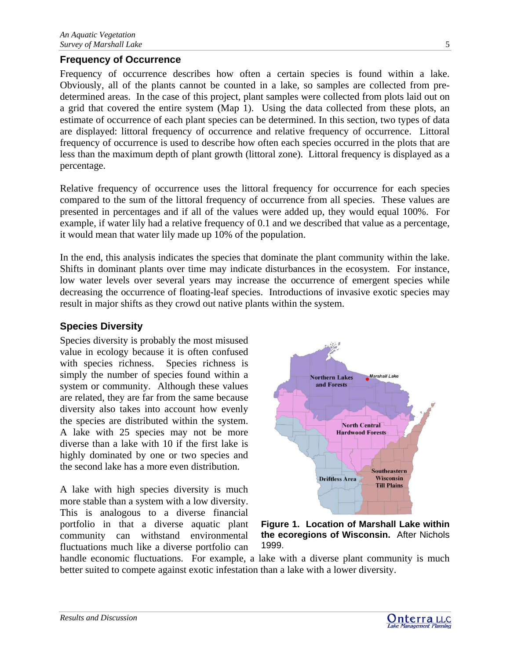## **Frequency of Occurrence**

Frequency of occurrence describes how often a certain species is found within a lake. Obviously, all of the plants cannot be counted in a lake, so samples are collected from predetermined areas. In the case of this project, plant samples were collected from plots laid out on a grid that covered the entire system (Map 1). Using the data collected from these plots, an estimate of occurrence of each plant species can be determined. In this section, two types of data are displayed: littoral frequency of occurrence and relative frequency of occurrence. Littoral frequency of occurrence is used to describe how often each species occurred in the plots that are less than the maximum depth of plant growth (littoral zone). Littoral frequency is displayed as a percentage.

Relative frequency of occurrence uses the littoral frequency for occurrence for each species compared to the sum of the littoral frequency of occurrence from all species. These values are presented in percentages and if all of the values were added up, they would equal 100%. For example, if water lily had a relative frequency of 0.1 and we described that value as a percentage, it would mean that water lily made up 10% of the population.

In the end, this analysis indicates the species that dominate the plant community within the lake. Shifts in dominant plants over time may indicate disturbances in the ecosystem. For instance, low water levels over several years may increase the occurrence of emergent species while decreasing the occurrence of floating-leaf species. Introductions of invasive exotic species may result in major shifts as they crowd out native plants within the system.

## **Species Diversity**

Species diversity is probably the most misused value in ecology because it is often confused with species richness. Species richness is simply the number of species found within a system or community. Although these values are related, they are far from the same because diversity also takes into account how evenly the species are distributed within the system. A lake with 25 species may not be more diverse than a lake with 10 if the first lake is highly dominated by one or two species and the second lake has a more even distribution.

A lake with high species diversity is much more stable than a system with a low diversity. This is analogous to a diverse financial portfolio in that a diverse aquatic plant community can withstand environmental fluctuations much like a diverse portfolio can



**Figure 1. Location of Marshall Lake within the ecoregions of Wisconsin.** After Nichols 1999.

handle economic fluctuations. For example, a lake with a diverse plant community is much better suited to compete against exotic infestation than a lake with a lower diversity.

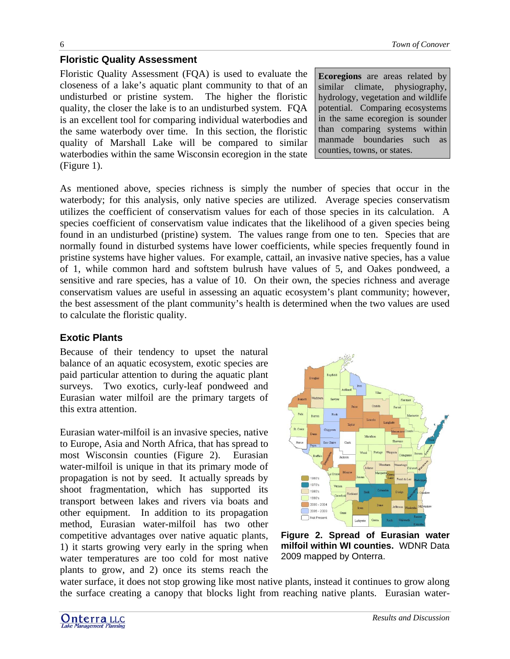## **Floristic Quality Assessment**

Floristic Quality Assessment (FQA) is used to evaluate the closeness of a lake's aquatic plant community to that of an undisturbed or pristine system. The higher the floristic quality, the closer the lake is to an undisturbed system. FQA is an excellent tool for comparing individual waterbodies and the same waterbody over time. In this section, the floristic quality of Marshall Lake will be compared to similar waterbodies within the same Wisconsin ecoregion in the state (Figure 1).

**Ecoregions** are areas related by similar climate, physiography, hydrology, vegetation and wildlife potential. Comparing ecosystems in the same ecoregion is sounder than comparing systems within manmade boundaries such as counties, towns, or states.

As mentioned above, species richness is simply the number of species that occur in the waterbody; for this analysis, only native species are utilized. Average species conservatism utilizes the coefficient of conservatism values for each of those species in its calculation. A species coefficient of conservatism value indicates that the likelihood of a given species being found in an undisturbed (pristine) system. The values range from one to ten. Species that are normally found in disturbed systems have lower coefficients, while species frequently found in pristine systems have higher values. For example, cattail, an invasive native species, has a value of 1, while common hard and softstem bulrush have values of 5, and Oakes pondweed, a sensitive and rare species, has a value of 10. On their own, the species richness and average conservatism values are useful in assessing an aquatic ecosystem's plant community; however, the best assessment of the plant community's health is determined when the two values are used to calculate the floristic quality.

## **Exotic Plants**

Because of their tendency to upset the natural balance of an aquatic ecosystem, exotic species are paid particular attention to during the aquatic plant surveys. Two exotics, curly-leaf pondweed and Eurasian water milfoil are the primary targets of this extra attention.

Eurasian water-milfoil is an invasive species, native to Europe, Asia and North Africa, that has spread to most Wisconsin counties (Figure 2). Eurasian water-milfoil is unique in that its primary mode of propagation is not by seed. It actually spreads by shoot fragmentation, which has supported its transport between lakes and rivers via boats and other equipment. In addition to its propagation method, Eurasian water-milfoil has two other competitive advantages over native aquatic plants, 1) it starts growing very early in the spring when water temperatures are too cold for most native plants to grow, and 2) once its stems reach the



**Figure 2. Spread of Eurasian water milfoil within WI counties.** WDNR Data 2009 mapped by Onterra.

water surface, it does not stop growing like most native plants, instead it continues to grow along the surface creating a canopy that blocks light from reaching native plants. Eurasian water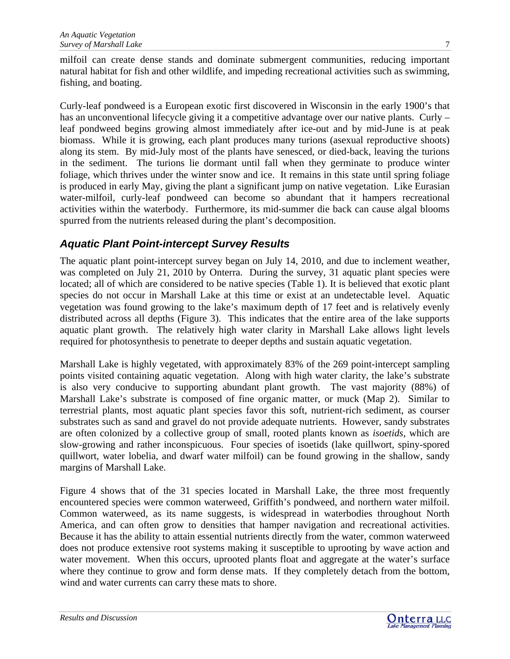milfoil can create dense stands and dominate submergent communities, reducing important natural habitat for fish and other wildlife, and impeding recreational activities such as swimming, fishing, and boating.

Curly-leaf pondweed is a European exotic first discovered in Wisconsin in the early 1900's that has an unconventional lifecycle giving it a competitive advantage over our native plants. Curly – leaf pondweed begins growing almost immediately after ice-out and by mid-June is at peak biomass. While it is growing, each plant produces many turions (asexual reproductive shoots) along its stem. By mid-July most of the plants have senesced, or died-back, leaving the turions in the sediment. The turions lie dormant until fall when they germinate to produce winter foliage, which thrives under the winter snow and ice. It remains in this state until spring foliage is produced in early May, giving the plant a significant jump on native vegetation. Like Eurasian water-milfoil, curly-leaf pondweed can become so abundant that it hampers recreational activities within the waterbody. Furthermore, its mid-summer die back can cause algal blooms spurred from the nutrients released during the plant's decomposition.

## *Aquatic Plant Point-intercept Survey Results*

The aquatic plant point-intercept survey began on July 14, 2010, and due to inclement weather, was completed on July 21, 2010 by Onterra. During the survey, 31 aquatic plant species were located; all of which are considered to be native species (Table 1). It is believed that exotic plant species do not occur in Marshall Lake at this time or exist at an undetectable level. Aquatic vegetation was found growing to the lake's maximum depth of 17 feet and is relatively evenly distributed across all depths (Figure 3). This indicates that the entire area of the lake supports aquatic plant growth. The relatively high water clarity in Marshall Lake allows light levels required for photosynthesis to penetrate to deeper depths and sustain aquatic vegetation.

Marshall Lake is highly vegetated, with approximately 83% of the 269 point-intercept sampling points visited containing aquatic vegetation. Along with high water clarity, the lake's substrate is also very conducive to supporting abundant plant growth. The vast majority (88%) of Marshall Lake's substrate is composed of fine organic matter, or muck (Map 2). Similar to terrestrial plants, most aquatic plant species favor this soft, nutrient-rich sediment, as courser substrates such as sand and gravel do not provide adequate nutrients. However, sandy substrates are often colonized by a collective group of small, rooted plants known as *isoetids*, which are slow-growing and rather inconspicuous. Four species of isoetids (lake quillwort, spiny-spored quillwort, water lobelia, and dwarf water milfoil) can be found growing in the shallow, sandy margins of Marshall Lake.

Figure 4 shows that of the 31 species located in Marshall Lake, the three most frequently encountered species were common waterweed, Griffith's pondweed, and northern water milfoil. Common waterweed, as its name suggests, is widespread in waterbodies throughout North America, and can often grow to densities that hamper navigation and recreational activities. Because it has the ability to attain essential nutrients directly from the water, common waterweed does not produce extensive root systems making it susceptible to uprooting by wave action and water movement. When this occurs, uprooted plants float and aggregate at the water's surface where they continue to grow and form dense mats. If they completely detach from the bottom, wind and water currents can carry these mats to shore.

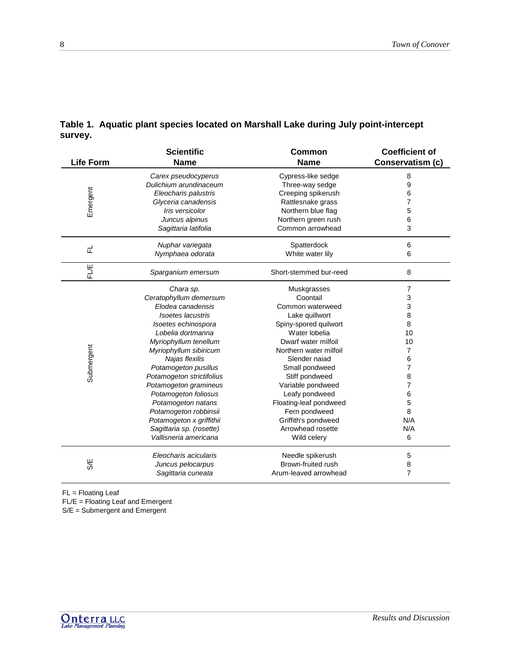| <b>Life Form</b>                                                                             | <b>Scientific</b><br><b>Name</b> | <b>Common</b><br><b>Name</b> | <b>Coefficient of</b><br>Conservatism (c) |
|----------------------------------------------------------------------------------------------|----------------------------------|------------------------------|-------------------------------------------|
|                                                                                              | Carex pseudocyperus              | Cypress-like sedge           | 8                                         |
|                                                                                              | Dulichium arundinaceum           | Three-way sedge              | 9                                         |
| Emergent                                                                                     | Eleocharis palustris             | Creeping spikerush           | 6                                         |
|                                                                                              | Glyceria canadensis              | Rattlesnake grass            | $\overline{7}$                            |
|                                                                                              | Iris versicolor                  | Northern blue flag           | 5                                         |
|                                                                                              | Juncus alpinus                   | Northern green rush          | 6                                         |
|                                                                                              | Sagittaria latifolia             | Common arrowhead             | 3                                         |
| 군                                                                                            | Nuphar variegata                 | Spatterdock                  | 6                                         |
|                                                                                              | Nymphaea odorata                 | White water lily             | 6                                         |
| FLE                                                                                          | Sparganium emersum               | Short-stemmed bur-reed       | 8                                         |
|                                                                                              | Chara sp.                        | Muskgrasses                  | 7                                         |
|                                                                                              | Ceratophyllum demersum           | Coontail                     | 3                                         |
|                                                                                              | Elodea canadensis                | Common waterweed             | 3                                         |
|                                                                                              | Isoetes lacustris                | Lake quillwort               | 8                                         |
|                                                                                              | Isoetes echinospora              | Spiny-spored quilwort        | 8                                         |
|                                                                                              | Lobelia dortmanna                | Water lobelia                | 10                                        |
|                                                                                              | Myriophyllum tenellum            | Dwarf water milfoil          | 10                                        |
| Submergent                                                                                   | Myriophyllum sibiricum           | Northern water milfoil       | 7                                         |
|                                                                                              | Najas flexilis                   | Slender naiad                | 6                                         |
|                                                                                              | Potamogeton pusillus             | Small pondweed               | 7                                         |
|                                                                                              | Potamogeton strictifolius        | Stiff pondweed               | 8                                         |
|                                                                                              | Potamogeton gramineus            | Variable pondweed            | 7                                         |
|                                                                                              | Potamogeton foliosus             | Leafy pondweed               | 6                                         |
|                                                                                              | Potamogeton natans               | Floating-leaf pondweed       | 5                                         |
|                                                                                              | Potamogeton robbinsii            | Fern pondweed                | 8                                         |
|                                                                                              | Potamogeton x griffithii         | Griffith's pondweed          | N/A                                       |
|                                                                                              | Sagittaria sp. (rosette)         | Arrowhead rosette            | N/A                                       |
|                                                                                              | Vallisneria americana            | Wild celery                  | 6                                         |
|                                                                                              | Eleocharis acicularis            | Needle spikerush             | 5                                         |
| S/E                                                                                          | Juncus pelocarpus                | Brown-fruited rush           | 8                                         |
|                                                                                              | Sagittaria cuneata               | Arum-leaved arrowhead        | $\overline{7}$                            |
| $FL = Floating Leaf$<br>FL/E = Floating Leaf and Emergent<br>$S/E =$ Submergent and Emergent |                                  |                              |                                           |

## **Table 1. Aquatic plant species located on Marshall Lake during July point-intercept survey.**

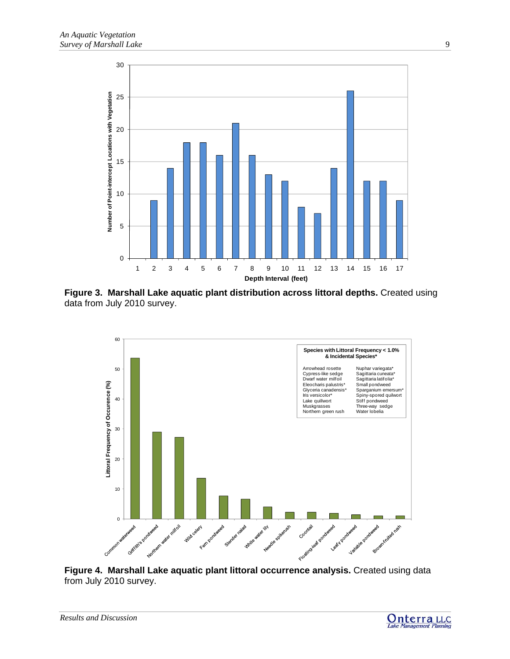

**Figure 3. Marshall Lake aquatic plant distribution across littoral depths.** Created using data from July 2010 survey.



**Figure 4. Marshall Lake aquatic plant littoral occurrence analysis.** Created using data from July 2010 survey.

*Results and Discussion* 



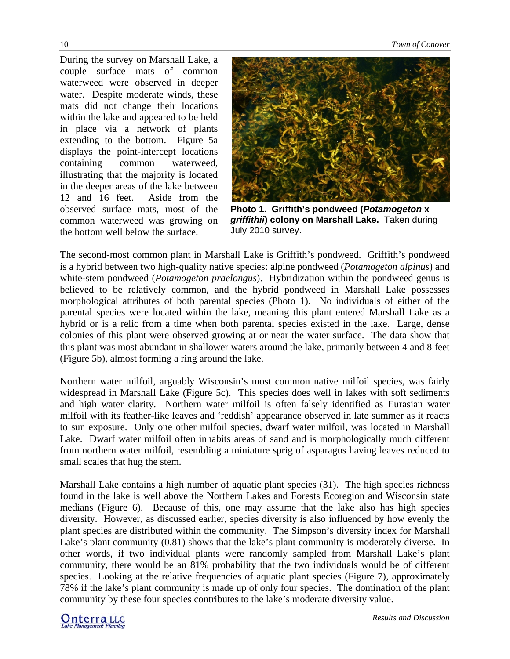During the survey on Marshall Lake, a couple surface mats of common waterweed were observed in deeper water. Despite moderate winds, these mats did not change their locations within the lake and appeared to be held in place via a network of plants extending to the bottom. Figure 5a displays the point-intercept locations containing common waterweed, illustrating that the majority is located in the deeper areas of the lake between 12 and 16 feet. Aside from the observed surface mats, most of the common waterweed was growing on the bottom well below the surface.



**Photo 1. Griffith's pondweed (***Potamogeton* **x** *griffithii***) colony on Marshall Lake.** Taken during July 2010 survey.

The second-most common plant in Marshall Lake is Griffith's pondweed. Griffith's pondweed is a hybrid between two high-quality native species: alpine pondweed (*Potamogeton alpinus*) and white-stem pondweed (*Potamogeton praelongus*). Hybridization within the pondweed genus is believed to be relatively common, and the hybrid pondweed in Marshall Lake possesses morphological attributes of both parental species (Photo 1). No individuals of either of the parental species were located within the lake, meaning this plant entered Marshall Lake as a hybrid or is a relic from a time when both parental species existed in the lake. Large, dense colonies of this plant were observed growing at or near the water surface. The data show that this plant was most abundant in shallower waters around the lake, primarily between 4 and 8 feet (Figure 5b), almost forming a ring around the lake.

Northern water milfoil, arguably Wisconsin's most common native milfoil species, was fairly widespread in Marshall Lake (Figure 5c). This species does well in lakes with soft sediments and high water clarity. Northern water milfoil is often falsely identified as Eurasian water milfoil with its feather-like leaves and 'reddish' appearance observed in late summer as it reacts to sun exposure. Only one other milfoil species, dwarf water milfoil, was located in Marshall Lake. Dwarf water milfoil often inhabits areas of sand and is morphologically much different from northern water milfoil, resembling a miniature sprig of asparagus having leaves reduced to small scales that hug the stem.

Marshall Lake contains a high number of aquatic plant species (31). The high species richness found in the lake is well above the Northern Lakes and Forests Ecoregion and Wisconsin state medians (Figure 6). Because of this, one may assume that the lake also has high species diversity. However, as discussed earlier, species diversity is also influenced by how evenly the plant species are distributed within the community. The Simpson's diversity index for Marshall Lake's plant community (0.81) shows that the lake's plant community is moderately diverse. In other words, if two individual plants were randomly sampled from Marshall Lake's plant community, there would be an 81% probability that the two individuals would be of different species. Looking at the relative frequencies of aquatic plant species (Figure 7), approximately 78% if the lake's plant community is made up of only four species. The domination of the plant community by these four species contributes to the lake's moderate diversity value.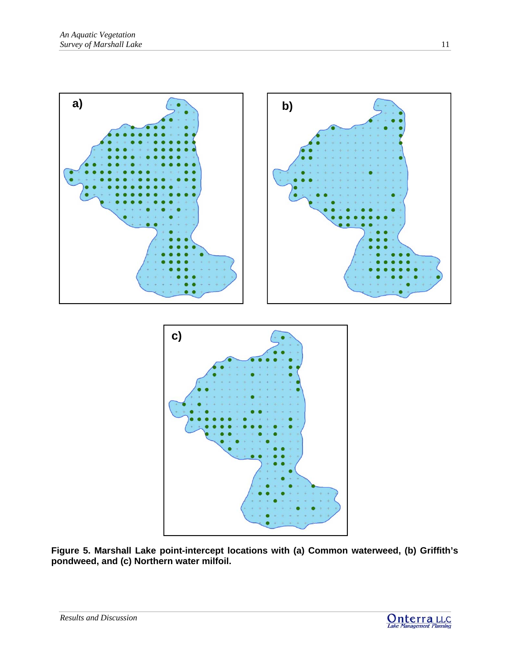

**Figure 5. Marshall Lake point-intercept locations with (a) Common waterweed, (b) Griffith's pondweed, and (c) Northern water milfoil.**

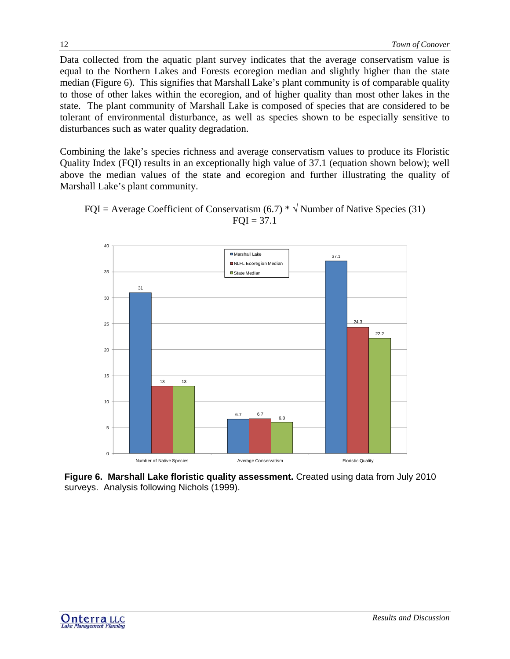Data collected from the aquatic plant survey indicates that the average conservatism value is equal to the Northern Lakes and Forests ecoregion median and slightly higher than the state median (Figure 6). This signifies that Marshall Lake's plant community is of comparable quality to those of other lakes within the ecoregion, and of higher quality than most other lakes in the state. The plant community of Marshall Lake is composed of species that are considered to be tolerant of environmental disturbance, as well as species shown to be especially sensitive to disturbances such as water quality degradation.

Combining the lake's species richness and average conservatism values to produce its Floristic Quality Index (FQI) results in an exceptionally high value of 37.1 (equation shown below); well above the median values of the state and ecoregion and further illustrating the quality of Marshall Lake's plant community.

> 31 6.7 37.1 13 6.7 24.3 13 6.0 22.2  $\Omega$ 5 10 15 20 25 30 35 40 Number of Native Species **Average Conservatism** Average Conservatism Floristic Quality ■Marshall Lake NLFL Ecoregion Median ■State Median

FQI = Average Coefficient of Conservatism  $(6.7) * \sqrt{\text{Number of Native Species (31)}}$  $FQI = 37.1$ 

**Figure 6. Marshall Lake floristic quality assessment.** Created using data from July 2010 surveys. Analysis following Nichols (1999).

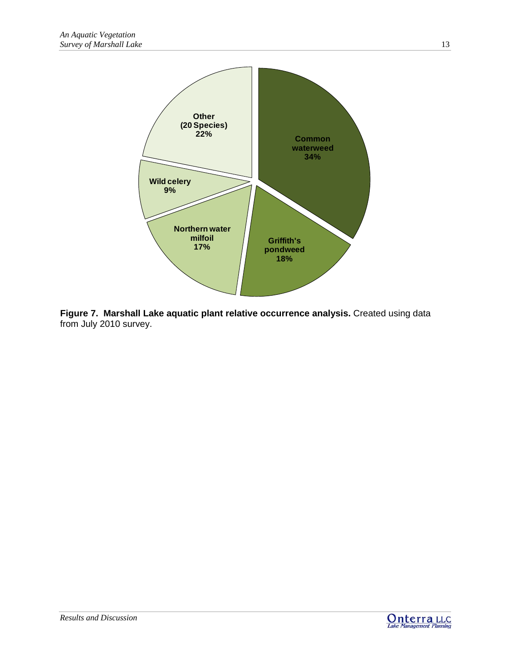

**Figure 7. Marshall Lake aquatic plant relative occurrence analysis.** Created using data from July 2010 survey.

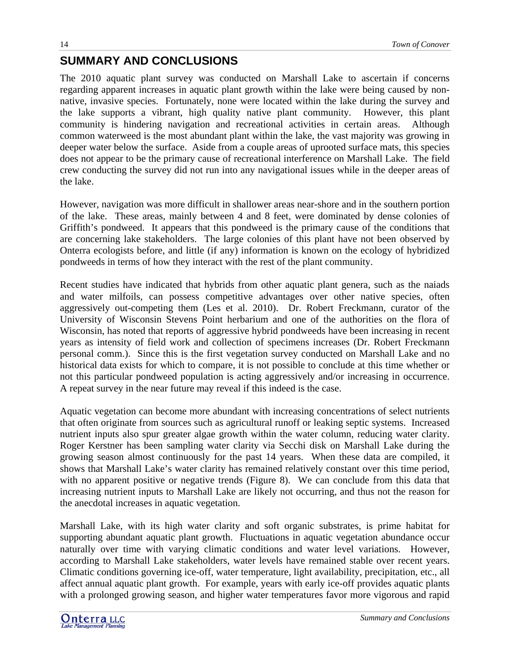# **SUMMARY AND CONCLUSIONS**

The 2010 aquatic plant survey was conducted on Marshall Lake to ascertain if concerns regarding apparent increases in aquatic plant growth within the lake were being caused by nonnative, invasive species. Fortunately, none were located within the lake during the survey and the lake supports a vibrant, high quality native plant community. However, this plant community is hindering navigation and recreational activities in certain areas. Although common waterweed is the most abundant plant within the lake, the vast majority was growing in deeper water below the surface. Aside from a couple areas of uprooted surface mats, this species does not appear to be the primary cause of recreational interference on Marshall Lake. The field crew conducting the survey did not run into any navigational issues while in the deeper areas of the lake.

However, navigation was more difficult in shallower areas near-shore and in the southern portion of the lake. These areas, mainly between 4 and 8 feet, were dominated by dense colonies of Griffith's pondweed. It appears that this pondweed is the primary cause of the conditions that are concerning lake stakeholders. The large colonies of this plant have not been observed by Onterra ecologists before, and little (if any) information is known on the ecology of hybridized pondweeds in terms of how they interact with the rest of the plant community.

Recent studies have indicated that hybrids from other aquatic plant genera, such as the naiads and water milfoils, can possess competitive advantages over other native species, often aggressively out-competing them (Les et al. 2010). Dr. Robert Freckmann, curator of the University of Wisconsin Stevens Point herbarium and one of the authorities on the flora of Wisconsin, has noted that reports of aggressive hybrid pondweeds have been increasing in recent years as intensity of field work and collection of specimens increases (Dr. Robert Freckmann personal comm.). Since this is the first vegetation survey conducted on Marshall Lake and no historical data exists for which to compare, it is not possible to conclude at this time whether or not this particular pondweed population is acting aggressively and/or increasing in occurrence. A repeat survey in the near future may reveal if this indeed is the case.

Aquatic vegetation can become more abundant with increasing concentrations of select nutrients that often originate from sources such as agricultural runoff or leaking septic systems. Increased nutrient inputs also spur greater algae growth within the water column, reducing water clarity. Roger Kerstner has been sampling water clarity via Secchi disk on Marshall Lake during the growing season almost continuously for the past 14 years. When these data are compiled, it shows that Marshall Lake's water clarity has remained relatively constant over this time period, with no apparent positive or negative trends (Figure 8). We can conclude from this data that increasing nutrient inputs to Marshall Lake are likely not occurring, and thus not the reason for the anecdotal increases in aquatic vegetation.

Marshall Lake, with its high water clarity and soft organic substrates, is prime habitat for supporting abundant aquatic plant growth. Fluctuations in aquatic vegetation abundance occur naturally over time with varying climatic conditions and water level variations. However, according to Marshall Lake stakeholders, water levels have remained stable over recent years. Climatic conditions governing ice-off, water temperature, light availability, precipitation, etc., all affect annual aquatic plant growth. For example, years with early ice-off provides aquatic plants with a prolonged growing season, and higher water temperatures favor more vigorous and rapid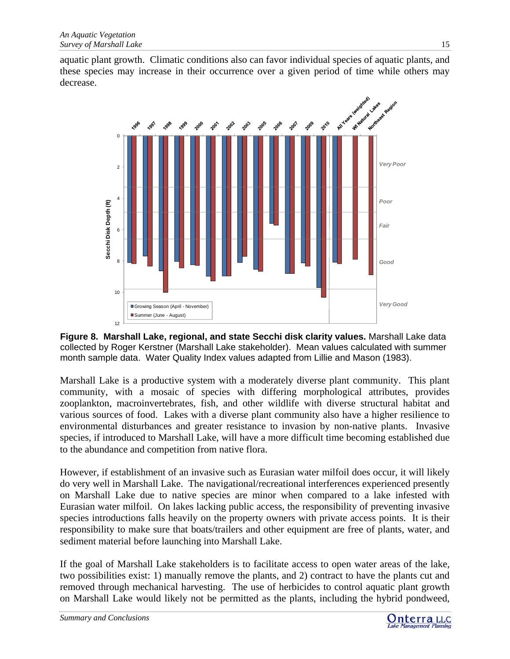aquatic plant growth. Climatic conditions also can favor individual species of aquatic plants, and these species may increase in their occurrence over a given period of time while others may decrease.



**Figure 8. Marshall Lake, regional, and state Secchi disk clarity values.** Marshall Lake data collected by Roger Kerstner (Marshall Lake stakeholder). Mean values calculated with summer month sample data. Water Quality Index values adapted from Lillie and Mason (1983).

Marshall Lake is a productive system with a moderately diverse plant community. This plant community, with a mosaic of species with differing morphological attributes, provides zooplankton, macroinvertebrates, fish, and other wildlife with diverse structural habitat and various sources of food. Lakes with a diverse plant community also have a higher resilience to environmental disturbances and greater resistance to invasion by non-native plants. Invasive species, if introduced to Marshall Lake, will have a more difficult time becoming established due to the abundance and competition from native flora.

However, if establishment of an invasive such as Eurasian water milfoil does occur, it will likely do very well in Marshall Lake. The navigational/recreational interferences experienced presently on Marshall Lake due to native species are minor when compared to a lake infested with Eurasian water milfoil. On lakes lacking public access, the responsibility of preventing invasive species introductions falls heavily on the property owners with private access points. It is their responsibility to make sure that boats/trailers and other equipment are free of plants, water, and sediment material before launching into Marshall Lake.

If the goal of Marshall Lake stakeholders is to facilitate access to open water areas of the lake, two possibilities exist: 1) manually remove the plants, and 2) contract to have the plants cut and removed through mechanical harvesting. The use of herbicides to control aquatic plant growth on Marshall Lake would likely not be permitted as the plants, including the hybrid pondweed,

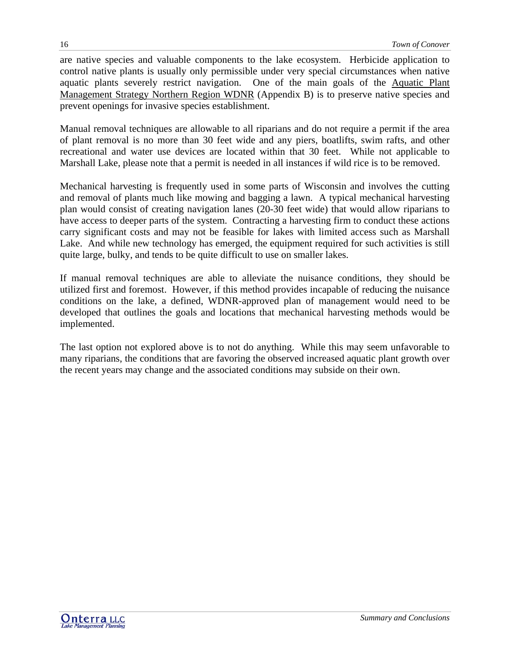are native species and valuable components to the lake ecosystem. Herbicide application to control native plants is usually only permissible under very special circumstances when native aquatic plants severely restrict navigation. One of the main goals of the Aquatic Plant Management Strategy Northern Region WDNR (Appendix B) is to preserve native species and prevent openings for invasive species establishment.

Manual removal techniques are allowable to all riparians and do not require a permit if the area of plant removal is no more than 30 feet wide and any piers, boatlifts, swim rafts, and other recreational and water use devices are located within that 30 feet. While not applicable to Marshall Lake, please note that a permit is needed in all instances if wild rice is to be removed.

Mechanical harvesting is frequently used in some parts of Wisconsin and involves the cutting and removal of plants much like mowing and bagging a lawn. A typical mechanical harvesting plan would consist of creating navigation lanes (20-30 feet wide) that would allow riparians to have access to deeper parts of the system. Contracting a harvesting firm to conduct these actions carry significant costs and may not be feasible for lakes with limited access such as Marshall Lake. And while new technology has emerged, the equipment required for such activities is still quite large, bulky, and tends to be quite difficult to use on smaller lakes.

If manual removal techniques are able to alleviate the nuisance conditions, they should be utilized first and foremost. However, if this method provides incapable of reducing the nuisance conditions on the lake, a defined, WDNR-approved plan of management would need to be developed that outlines the goals and locations that mechanical harvesting methods would be implemented.

The last option not explored above is to not do anything. While this may seem unfavorable to many riparians, the conditions that are favoring the observed increased aquatic plant growth over the recent years may change and the associated conditions may subside on their own.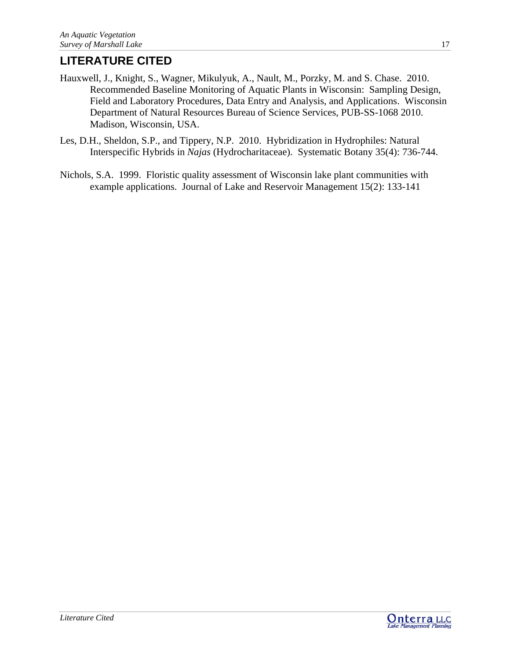# **LITERATURE CITED**

- Hauxwell, J., Knight, S., Wagner, Mikulyuk, A., Nault, M., Porzky, M. and S. Chase. 2010. Recommended Baseline Monitoring of Aquatic Plants in Wisconsin: Sampling Design, Field and Laboratory Procedures, Data Entry and Analysis, and Applications. Wisconsin Department of Natural Resources Bureau of Science Services, PUB-SS-1068 2010. Madison, Wisconsin, USA.
- Les, D.H., Sheldon, S.P., and Tippery, N.P. 2010. Hybridization in Hydrophiles: Natural Interspecific Hybrids in *Najas* (Hydrocharitaceae). Systematic Botany 35(4): 736-744.
- Nichols, S.A. 1999. Floristic quality assessment of Wisconsin lake plant communities with example applications. Journal of Lake and Reservoir Management 15(2): 133-141

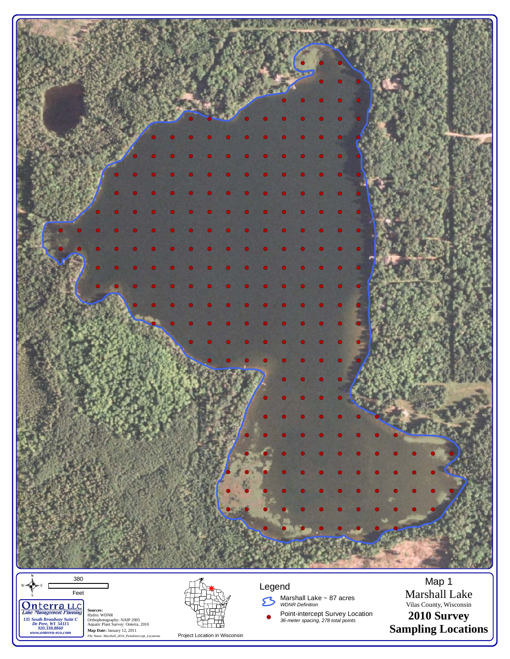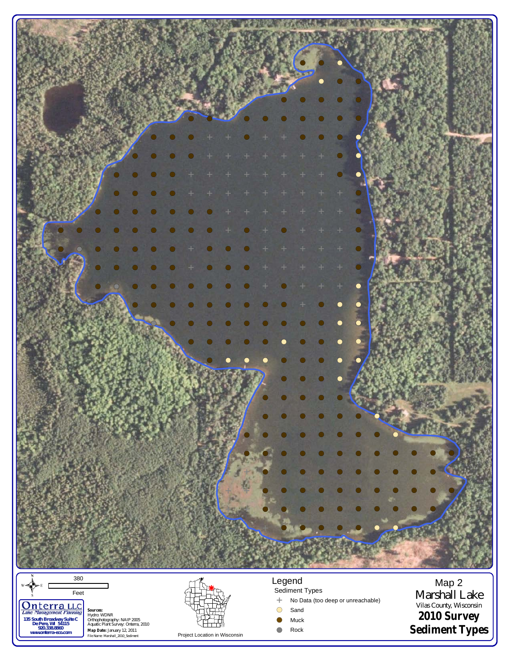

 $\frac{1}{\sqrt{\frac{1}{s}}}$ Feet Onterra, LLC **Sources:** Hydro: WDNR Orthophotography: NAIP 2005 Aquatic Plant Survey: Onterra, 2010 **Map Date:** January 12, 2011 *File Name: Marshall\_2010\_Sediment 135 South Broadway Suite C De Pere, WI 54115 920.338.8860 www.onterra-eco.com*

Project Location in Wisconsin

Sediment Types !( Sand <sup>E</sup> No Data (too deep or unreachable) Vilas County, Wisconsin

 $\bullet$  Muck

!( Rock

Marshall Lake **2010 Survey Sediment Types**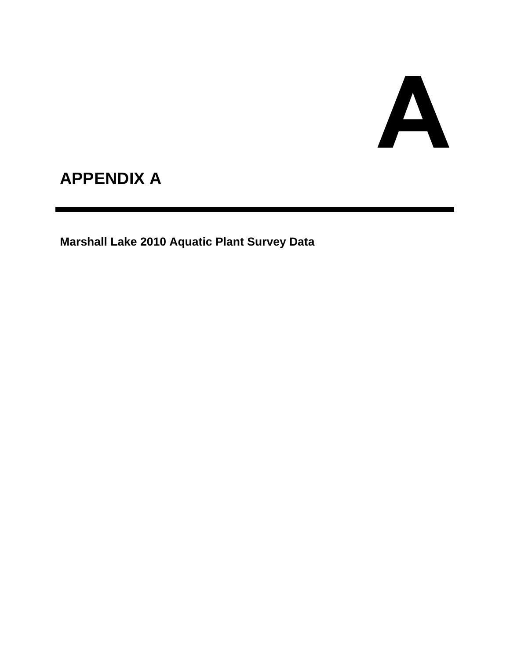# A

# **APPENDIX A**

**Marshall Lake 2010 Aquatic Plant Survey Data**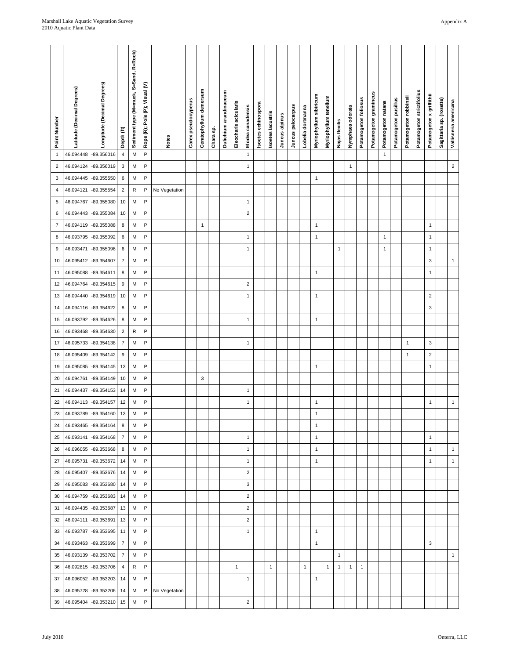| Point Number   | Latitude (Decimal Degrees) | Longitude (Decimal Degrees) | Depth (ft)                   | Sediment type (M=muck, S=Sand, R=Rock) | Rope (R); Pole (P); Visual (V) | Notes         | Carex pseudocyperus | Ceratophyllum demersum | Chara sp. | Dulichium arundinaceum | Eleocharis acicularis | Elodea canadensis | Isoetes echinospora | Isoetes lacustris | Juncus alpinus | Juncus pelocarpus | Lobelia dortmanna | Myriophyllum sibiricum | Myriophyllum tenellum | Najas flexilis | Nymphaea odorata | Potamogeton follosus | Potamogeton gramineus | Potamogeton natans | Potamogeton pusillus | Potamogeton robbinsii | Potamogeton strictifolius | Potamogeton x griffithii | Sagittaria sp. (rosette) | Vallisneria americana |
|----------------|----------------------------|-----------------------------|------------------------------|----------------------------------------|--------------------------------|---------------|---------------------|------------------------|-----------|------------------------|-----------------------|-------------------|---------------------|-------------------|----------------|-------------------|-------------------|------------------------|-----------------------|----------------|------------------|----------------------|-----------------------|--------------------|----------------------|-----------------------|---------------------------|--------------------------|--------------------------|-----------------------|
| $\mathbf{1}$   | 46.094448                  | -89.356016                  | $\overline{4}$               | М                                      | $\sf P$                        |               |                     |                        |           |                        |                       | $\mathbf{1}$      |                     |                   |                |                   |                   |                        |                       |                |                  |                      |                       | $\mathbf{1}$       |                      |                       |                           |                          |                          |                       |
| $\overline{2}$ | 46.094124                  | -89.356019                  | 3                            | М                                      | P                              |               |                     |                        |           |                        |                       | $\mathbf{1}$      |                     |                   |                |                   |                   |                        |                       |                | $\mathbf{1}$     |                      |                       |                    |                      |                       |                           |                          |                          | $\mathbf 2$           |
| $\mathsf 3$    | 46.094445                  | -89.355550                  | 6                            | М                                      | P                              |               |                     |                        |           |                        |                       |                   |                     |                   |                |                   |                   | 1                      |                       |                |                  |                      |                       |                    |                      |                       |                           |                          |                          |                       |
| 4              | 46.094121                  | -89.355554                  | $\sqrt{2}$                   | R                                      | $\mathsf{P}$                   | No Vegetation |                     |                        |           |                        |                       |                   |                     |                   |                |                   |                   |                        |                       |                |                  |                      |                       |                    |                      |                       |                           |                          |                          |                       |
| 5              | 46.094767                  | -89.355080                  | 10                           | М                                      | $\mathsf{P}$                   |               |                     |                        |           |                        |                       | $\mathbf{1}$      |                     |                   |                |                   |                   |                        |                       |                |                  |                      |                       |                    |                      |                       |                           |                          |                          |                       |
| 6              | 46.094443                  | -89.355084                  | 10                           | M                                      | P                              |               |                     |                        |           |                        |                       | $\sqrt{2}$        |                     |                   |                |                   |                   |                        |                       |                |                  |                      |                       |                    |                      |                       |                           |                          |                          |                       |
| $\overline{7}$ | 46.094119                  | -89.355088                  | $\bf 8$                      | М                                      | $\mathsf{P}$                   |               |                     | $\mathbf{1}$           |           |                        |                       |                   |                     |                   |                |                   |                   | 1                      |                       |                |                  |                      |                       |                    |                      |                       |                           | $\mathbf{1}$             |                          |                       |
| 8              | 46.093795                  | -89.355092                  | 6                            | М                                      | P                              |               |                     |                        |           |                        |                       | $\mathbf{1}$      |                     |                   |                |                   |                   | 1                      |                       |                |                  |                      |                       | $\mathbf{1}$       |                      |                       |                           | $\mathbf{1}$             |                          |                       |
| 9              | 46.093471                  | -89.355096                  | $\boldsymbol{6}$             | М                                      | P                              |               |                     |                        |           |                        |                       | $\mathbf{1}$      |                     |                   |                |                   |                   |                        |                       | $\mathbf{1}$   |                  |                      |                       | $\mathbf{1}$       |                      |                       |                           | $\mathbf{1}$             |                          |                       |
| 10             | 46.095412                  | -89.354607                  | $\overline{7}$               | М                                      | $\mathsf{P}$                   |               |                     |                        |           |                        |                       |                   |                     |                   |                |                   |                   |                        |                       |                |                  |                      |                       |                    |                      |                       |                           | 3                        |                          | $\mathbf{1}$          |
| 11             | 46.095088                  | -89.354611                  | 8                            | M                                      | $\sf P$                        |               |                     |                        |           |                        |                       |                   |                     |                   |                |                   |                   | 1                      |                       |                |                  |                      |                       |                    |                      |                       |                           | $\mathbf{1}$             |                          |                       |
| 12             | 46.094764                  | -89.354615                  | $\boldsymbol{9}$             | М                                      | $\sf P$                        |               |                     |                        |           |                        |                       | $\sqrt{2}$        |                     |                   |                |                   |                   |                        |                       |                |                  |                      |                       |                    |                      |                       |                           |                          |                          |                       |
| 13             | 46.094440                  | -89.354619                  | 10                           | M                                      | P                              |               |                     |                        |           |                        |                       | $\mathbf{1}$      |                     |                   |                |                   |                   | 1                      |                       |                |                  |                      |                       |                    |                      |                       |                           | $\overline{c}$           |                          |                       |
| 14             | 46.094116                  | -89.354622                  | $\bf 8$                      | М                                      | $\mathsf{P}$                   |               |                     |                        |           |                        |                       |                   |                     |                   |                |                   |                   |                        |                       |                |                  |                      |                       |                    |                      |                       |                           | 3                        |                          |                       |
| 15             | 46.093792                  | -89.354626                  | 8                            | M                                      | P<br>P                         |               |                     |                        |           |                        |                       | $\mathbf{1}$      |                     |                   |                |                   |                   | 1                      |                       |                |                  |                      |                       |                    |                      |                       |                           |                          |                          |                       |
| 16             | 46.093468                  | -89.354630                  | $\sqrt{2}$<br>$\overline{7}$ | ${\sf R}$<br>M                         | $\mathsf{P}$                   |               |                     |                        |           |                        |                       |                   |                     |                   |                |                   |                   |                        |                       |                |                  |                      |                       |                    |                      |                       |                           | 3                        |                          |                       |
| 17<br>18       | 46.095733<br>46.095409     | -89.354138<br>-89.354142    | $\boldsymbol{9}$             | M                                      | $\sf P$                        |               |                     |                        |           |                        |                       | $\mathbf{1}$      |                     |                   |                |                   |                   |                        |                       |                |                  |                      |                       |                    |                      | 1<br>1                |                           | $\overline{2}$           |                          |                       |
| 19             | 46.095085                  | -89.354145                  | 13                           | М                                      | P                              |               |                     |                        |           |                        |                       |                   |                     |                   |                |                   |                   | 1                      |                       |                |                  |                      |                       |                    |                      |                       |                           | $\mathbf{1}$             |                          |                       |
| 20             | 46.094761                  | -89.354149                  | 10                           | М                                      | P                              |               |                     | 3                      |           |                        |                       |                   |                     |                   |                |                   |                   |                        |                       |                |                  |                      |                       |                    |                      |                       |                           |                          |                          |                       |
| 21             | 46.094437                  | -89.354153                  | 14                           | М                                      | $\mathsf{P}$                   |               |                     |                        |           |                        |                       | $\mathbf{1}$      |                     |                   |                |                   |                   |                        |                       |                |                  |                      |                       |                    |                      |                       |                           |                          |                          |                       |
| 22             | 46.094113                  | -89.354157                  | 12                           | M                                      | P                              |               |                     |                        |           |                        |                       | $\mathbf{1}$      |                     |                   |                |                   |                   | 1                      |                       |                |                  |                      |                       |                    |                      |                       |                           | $\mathbf{1}$             |                          | $\mathbf{1}$          |
| 23             | 46.093789                  | -89.354160                  | 13                           | М                                      | P                              |               |                     |                        |           |                        |                       |                   |                     |                   |                |                   |                   | $\mathbf{1}$           |                       |                |                  |                      |                       |                    |                      |                       |                           |                          |                          |                       |
| 24             | 46.093465                  | -89.354164                  | 8                            | M                                      | $\mathsf{P}$                   |               |                     |                        |           |                        |                       |                   |                     |                   |                |                   |                   | $\mathbf{1}$           |                       |                |                  |                      |                       |                    |                      |                       |                           |                          |                          |                       |
| 25             |                            | 46.093141 -89.354168        | $\overline{7}$               | M                                      | P                              |               |                     |                        |           |                        |                       | $\mathbf{1}$      |                     |                   |                |                   |                   | 1                      |                       |                |                  |                      |                       |                    |                      |                       |                           | $\mathbf{1}$             |                          |                       |
| 26             |                            | 46.096055 -89.353668        | 8                            | M                                      | P                              |               |                     |                        |           |                        |                       | $\mathbf{1}$      |                     |                   |                |                   |                   | $\mathbf{1}$           |                       |                |                  |                      |                       |                    |                      |                       |                           | $\mathbf{1}$             |                          | $\mathbf{1}$          |
| 27             | 46.095731                  | -89.353672                  | 14                           | M                                      | P                              |               |                     |                        |           |                        |                       | $\mathbf{1}$      |                     |                   |                |                   |                   | 1                      |                       |                |                  |                      |                       |                    |                      |                       |                           | $\mathbf{1}$             |                          | $\mathbf{1}$          |
| 28             | 46.095407                  | -89.353676                  | 14                           | M                                      | P                              |               |                     |                        |           |                        |                       | $\sqrt{2}$        |                     |                   |                |                   |                   |                        |                       |                |                  |                      |                       |                    |                      |                       |                           |                          |                          |                       |
| 29             |                            | 46.095083 -89.353680        | 14                           | M                                      | P                              |               |                     |                        |           |                        |                       | 3                 |                     |                   |                |                   |                   |                        |                       |                |                  |                      |                       |                    |                      |                       |                           |                          |                          |                       |
| 30             |                            | 46.094759 -89.353683        | 14                           | M                                      | P                              |               |                     |                        |           |                        |                       | $\sqrt{2}$        |                     |                   |                |                   |                   |                        |                       |                |                  |                      |                       |                    |                      |                       |                           |                          |                          |                       |
| 31             | 46.094435                  | -89.353687                  | 13                           | M                                      | P                              |               |                     |                        |           |                        |                       | $\sqrt{2}$        |                     |                   |                |                   |                   |                        |                       |                |                  |                      |                       |                    |                      |                       |                           |                          |                          |                       |
| 32             |                            | 46.094111 -89.353691        | 13                           | M                                      | P                              |               |                     |                        |           |                        |                       | $\overline{2}$    |                     |                   |                |                   |                   |                        |                       |                |                  |                      |                       |                    |                      |                       |                           |                          |                          |                       |
| 33             | 46.093787                  | -89.353695 11               |                              | M                                      | P                              |               |                     |                        |           |                        |                       | $\mathbf{1}$      |                     |                   |                |                   |                   | $\mathbf{1}$           |                       |                |                  |                      |                       |                    |                      |                       |                           |                          |                          |                       |
| 34             |                            | 46.093463 -89.353699        | $\overline{7}$               | M                                      | P                              |               |                     |                        |           |                        |                       |                   |                     |                   |                |                   |                   | $\mathbf{1}$           |                       |                |                  |                      |                       |                    |                      |                       |                           | 3                        |                          |                       |
| 35             |                            | 46.093139 -89.353702        | $\overline{7}$               | M                                      | P                              |               |                     |                        |           |                        |                       |                   |                     |                   |                |                   |                   |                        |                       | $\mathbf{1}$   |                  |                      |                       |                    |                      |                       |                           |                          |                          | $\mathbf{1}$          |
| 36             |                            | 46.092815 -89.353706        | $\overline{4}$               | ${\sf R}$                              | P                              |               |                     |                        |           |                        | $\mathbf{1}$          |                   |                     | $\mathbf{1}$      |                |                   | $\mathbf{1}$      |                        | $\mathbf{1}$          | $\mathbf{1}$   | $\mathbf{1}$     | $\mathbf{1}$         |                       |                    |                      |                       |                           |                          |                          |                       |
| 37             | 46.096052                  | -89.353203                  | 14                           | M                                      | P                              |               |                     |                        |           |                        |                       | $\mathbf{1}$      |                     |                   |                |                   |                   | $\mathbf{1}$           |                       |                |                  |                      |                       |                    |                      |                       |                           |                          |                          |                       |
| 38             | 46.095728                  | -89.353206                  | 14                           | M                                      | P                              | No Vegetation |                     |                        |           |                        |                       |                   |                     |                   |                |                   |                   |                        |                       |                |                  |                      |                       |                    |                      |                       |                           |                          |                          |                       |
| 39             | 46.095404                  | -89.353210                  | 15                           | M                                      | P                              |               |                     |                        |           |                        |                       | $\sqrt{2}$        |                     |                   |                |                   |                   |                        |                       |                |                  |                      |                       |                    |                      |                       |                           |                          |                          |                       |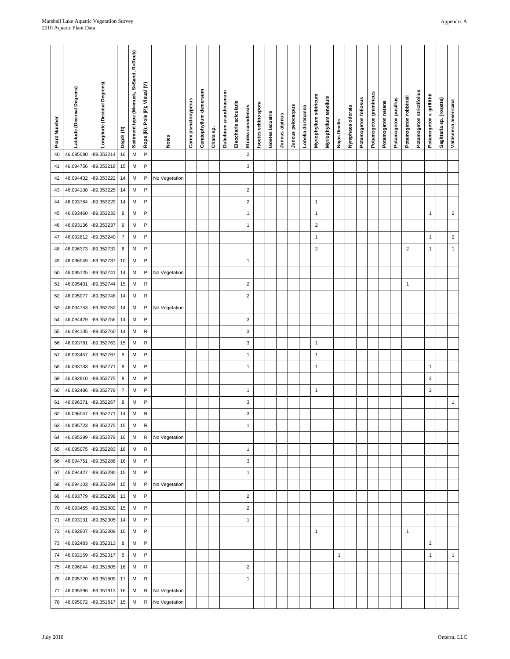| $\boldsymbol{2}$<br>M<br>P<br>40<br>46.095080<br>-89.353214<br>16<br>P<br>3<br>15<br>M<br>41<br>46.094756<br>-89.353218<br>46.094432<br>-89.353222<br>14<br>M<br>P<br>42<br>No Vegetation<br>P<br>$14$<br>M<br>$\sqrt{2}$<br>-89.353225<br>43<br>46.094108<br>-89.353229<br>14<br>M<br>P<br>$\sqrt{2}$<br>$\mathbf{1}$<br>44<br>46.093784<br>$\sqrt{2}$<br>$\bf8$<br>M<br>P<br>$\mathbf{1}$<br>-89.353233<br>$\mathbf{1}$<br>$\mathbf{1}$<br>45<br>46.093460<br>$\boldsymbol{9}$<br>M<br>P<br>$\overline{\mathbf{c}}$<br>46.093136<br>-89.353237<br>$\mathbf{1}$<br>46<br>$\overline{7}$<br>P<br>$\sqrt{2}$<br>47<br>46.092812<br>-89.353240<br>M<br>$\mathbf{1}$<br>$\mathbf{1}$<br>$\mathbf{1}$<br>P<br>$\sqrt{2}$<br>6<br>М<br>$\sqrt{2}$<br>48<br>46.096373<br>-89.352733<br>$\mathbf{1}$<br>-89.352737<br>10<br>M<br>P<br>49<br>46.096049<br>$\mathbf{1}$<br>P<br>-89.352741<br>14<br>M<br>No Vegetation<br>50<br>46.095725<br>-89.352744<br>15<br>M<br>R<br>$\sqrt{2}$<br>51<br>46.095401<br>$\mathbf{1}$<br>$\mathbf 2$<br>-89.352748<br>14<br>M<br>R<br>52<br>46.095077<br>53<br>46.094753<br>-89.352752<br>14<br>M<br>P<br>No Vegetation<br>P<br>-89.352756<br>14<br>M<br>3<br>54<br>46.094429<br>R<br>3<br>M<br>55<br>46.094105<br>-89.352760<br>14<br>46.093781<br>-89.352763<br>15<br>M<br>R<br>3<br>$\mathbf{1}$<br>56<br>P<br>$\boldsymbol{9}$<br>M<br>$\mathbf{1}$<br>$\mathbf{1}$<br>46.093457<br>-89.352767<br>57<br>P<br>58<br>46.093133<br>-89.352771<br>$9\,$<br>M<br>$\mathbf{1}$<br>$\mathbf{1}$<br>$\mathbf{1}$<br>$\bf 8$<br>P<br>$\overline{2}$<br>М<br>59<br>46.092810<br>-89.352775<br>P<br>-89.352779<br>$\overline{7}$<br>М<br>$\overline{c}$<br>60<br>46.092486<br>$\mathbf{1}$<br>$\mathbf{1}$<br>$\mathbf{1}$<br>P<br>8<br>3<br>61<br>46.096371<br>-89.352267<br>M<br>3<br>62<br>46.096047<br>$-89.352271$<br>M<br>R<br>14<br>-89.352275<br>46.095723<br>15<br>M<br>R<br>$\mathbf{1}$<br>63<br>-89.352279<br>46.095399<br>16<br>M<br>R<br>No Vegetation<br>64<br>46.095075 -89.352283<br>16<br>M<br>R<br>$\mathbf{1}$<br>65<br>P<br>-89.352286<br>16<br>M<br>3<br>46.094751<br>66<br>46.094427<br>-89.352290<br>15<br>M<br>P<br>67<br>$\mathbf{1}$<br>P<br>46.094103<br>-89.352294<br>15<br>M<br>No Vegetation<br>68<br>46.093779 -89.352298<br>13<br>M<br>P<br>$\sqrt{2}$<br>69<br>-89.352302<br>P<br>$\overline{c}$<br>46.093455<br>15<br>M<br>70<br>46.093131<br>-89.352305<br>14<br>M<br>P<br>71<br>$\mathbf{1}$<br>46.092807<br>-89.352309<br>10<br>M<br>P<br>$\mathbf{1}$<br>72<br>$\mathbf{1}$<br>P<br>-89.352313<br>8<br>M<br>$\overline{c}$<br>46.092483<br>73<br>46.092159 -89.352317<br>$\sqrt{5}$<br>M<br>P<br>74<br>$\mathbf{1}$<br>$\mathbf{1}$<br>$\mathbf{1}$<br>$-89.351805$<br>R<br>$\boldsymbol{2}$<br>46.096044<br>16<br>M<br>75<br>46.095720 -89.351809<br>17<br>M<br>R<br>$\mathbf{1}$<br>76 | Point Number | Latitude (Decimal Degrees) | Longitude (Decimal Degrees) | Depth (ft | Sediment type (M=muck, S=Sand, R=Rock) | Rope (R); Pole (P); Visual (V) | <b>Notes</b> | Carex pseudocyperus | Ceratophyllum demersum | Chara sp. | Dulichium arundinaceum | Eleocharis acicularis | Elodea canadensis | Isoetes echinospora | Isoetes lacustris | Juncus alpinus | Juncus pelocarpus | Lobelia dortmanna | Myriophyllum sibiricum | Myriophyllum tenellum | Najas flexilis | Nymphaea odorata | Potamogeton foliosus | Potamogeton gramineus | Potamogeton natans | Potamogeton pusillus | Potamogeton robbinsii | Potamogeton strictifolius | Potamogeton x griffithi | Sagittaria sp. (rosette) | Vallisneria americana |
|----------------------------------------------------------------------------------------------------------------------------------------------------------------------------------------------------------------------------------------------------------------------------------------------------------------------------------------------------------------------------------------------------------------------------------------------------------------------------------------------------------------------------------------------------------------------------------------------------------------------------------------------------------------------------------------------------------------------------------------------------------------------------------------------------------------------------------------------------------------------------------------------------------------------------------------------------------------------------------------------------------------------------------------------------------------------------------------------------------------------------------------------------------------------------------------------------------------------------------------------------------------------------------------------------------------------------------------------------------------------------------------------------------------------------------------------------------------------------------------------------------------------------------------------------------------------------------------------------------------------------------------------------------------------------------------------------------------------------------------------------------------------------------------------------------------------------------------------------------------------------------------------------------------------------------------------------------------------------------------------------------------------------------------------------------------------------------------------------------------------------------------------------------------------------------------------------------------------------------------------------------------------------------------------------------------------------------------------------------------------------------------------------------------------------------------------------------------------------------------------------------------------------------------------------------------------------------------------------------------------------------------------------------------------------------------------------------------------------------------------------------------------------------------------------------------------------------------------------|--------------|----------------------------|-----------------------------|-----------|----------------------------------------|--------------------------------|--------------|---------------------|------------------------|-----------|------------------------|-----------------------|-------------------|---------------------|-------------------|----------------|-------------------|-------------------|------------------------|-----------------------|----------------|------------------|----------------------|-----------------------|--------------------|----------------------|-----------------------|---------------------------|-------------------------|--------------------------|-----------------------|
|                                                                                                                                                                                                                                                                                                                                                                                                                                                                                                                                                                                                                                                                                                                                                                                                                                                                                                                                                                                                                                                                                                                                                                                                                                                                                                                                                                                                                                                                                                                                                                                                                                                                                                                                                                                                                                                                                                                                                                                                                                                                                                                                                                                                                                                                                                                                                                                                                                                                                                                                                                                                                                                                                                                                                                                                                                                    |              |                            |                             |           |                                        |                                |              |                     |                        |           |                        |                       |                   |                     |                   |                |                   |                   |                        |                       |                |                  |                      |                       |                    |                      |                       |                           |                         |                          |                       |
|                                                                                                                                                                                                                                                                                                                                                                                                                                                                                                                                                                                                                                                                                                                                                                                                                                                                                                                                                                                                                                                                                                                                                                                                                                                                                                                                                                                                                                                                                                                                                                                                                                                                                                                                                                                                                                                                                                                                                                                                                                                                                                                                                                                                                                                                                                                                                                                                                                                                                                                                                                                                                                                                                                                                                                                                                                                    |              |                            |                             |           |                                        |                                |              |                     |                        |           |                        |                       |                   |                     |                   |                |                   |                   |                        |                       |                |                  |                      |                       |                    |                      |                       |                           |                         |                          |                       |
|                                                                                                                                                                                                                                                                                                                                                                                                                                                                                                                                                                                                                                                                                                                                                                                                                                                                                                                                                                                                                                                                                                                                                                                                                                                                                                                                                                                                                                                                                                                                                                                                                                                                                                                                                                                                                                                                                                                                                                                                                                                                                                                                                                                                                                                                                                                                                                                                                                                                                                                                                                                                                                                                                                                                                                                                                                                    |              |                            |                             |           |                                        |                                |              |                     |                        |           |                        |                       |                   |                     |                   |                |                   |                   |                        |                       |                |                  |                      |                       |                    |                      |                       |                           |                         |                          |                       |
|                                                                                                                                                                                                                                                                                                                                                                                                                                                                                                                                                                                                                                                                                                                                                                                                                                                                                                                                                                                                                                                                                                                                                                                                                                                                                                                                                                                                                                                                                                                                                                                                                                                                                                                                                                                                                                                                                                                                                                                                                                                                                                                                                                                                                                                                                                                                                                                                                                                                                                                                                                                                                                                                                                                                                                                                                                                    |              |                            |                             |           |                                        |                                |              |                     |                        |           |                        |                       |                   |                     |                   |                |                   |                   |                        |                       |                |                  |                      |                       |                    |                      |                       |                           |                         |                          |                       |
|                                                                                                                                                                                                                                                                                                                                                                                                                                                                                                                                                                                                                                                                                                                                                                                                                                                                                                                                                                                                                                                                                                                                                                                                                                                                                                                                                                                                                                                                                                                                                                                                                                                                                                                                                                                                                                                                                                                                                                                                                                                                                                                                                                                                                                                                                                                                                                                                                                                                                                                                                                                                                                                                                                                                                                                                                                                    |              |                            |                             |           |                                        |                                |              |                     |                        |           |                        |                       |                   |                     |                   |                |                   |                   |                        |                       |                |                  |                      |                       |                    |                      |                       |                           |                         |                          |                       |
|                                                                                                                                                                                                                                                                                                                                                                                                                                                                                                                                                                                                                                                                                                                                                                                                                                                                                                                                                                                                                                                                                                                                                                                                                                                                                                                                                                                                                                                                                                                                                                                                                                                                                                                                                                                                                                                                                                                                                                                                                                                                                                                                                                                                                                                                                                                                                                                                                                                                                                                                                                                                                                                                                                                                                                                                                                                    |              |                            |                             |           |                                        |                                |              |                     |                        |           |                        |                       |                   |                     |                   |                |                   |                   |                        |                       |                |                  |                      |                       |                    |                      |                       |                           |                         |                          |                       |
|                                                                                                                                                                                                                                                                                                                                                                                                                                                                                                                                                                                                                                                                                                                                                                                                                                                                                                                                                                                                                                                                                                                                                                                                                                                                                                                                                                                                                                                                                                                                                                                                                                                                                                                                                                                                                                                                                                                                                                                                                                                                                                                                                                                                                                                                                                                                                                                                                                                                                                                                                                                                                                                                                                                                                                                                                                                    |              |                            |                             |           |                                        |                                |              |                     |                        |           |                        |                       |                   |                     |                   |                |                   |                   |                        |                       |                |                  |                      |                       |                    |                      |                       |                           |                         |                          |                       |
|                                                                                                                                                                                                                                                                                                                                                                                                                                                                                                                                                                                                                                                                                                                                                                                                                                                                                                                                                                                                                                                                                                                                                                                                                                                                                                                                                                                                                                                                                                                                                                                                                                                                                                                                                                                                                                                                                                                                                                                                                                                                                                                                                                                                                                                                                                                                                                                                                                                                                                                                                                                                                                                                                                                                                                                                                                                    |              |                            |                             |           |                                        |                                |              |                     |                        |           |                        |                       |                   |                     |                   |                |                   |                   |                        |                       |                |                  |                      |                       |                    |                      |                       |                           |                         |                          |                       |
|                                                                                                                                                                                                                                                                                                                                                                                                                                                                                                                                                                                                                                                                                                                                                                                                                                                                                                                                                                                                                                                                                                                                                                                                                                                                                                                                                                                                                                                                                                                                                                                                                                                                                                                                                                                                                                                                                                                                                                                                                                                                                                                                                                                                                                                                                                                                                                                                                                                                                                                                                                                                                                                                                                                                                                                                                                                    |              |                            |                             |           |                                        |                                |              |                     |                        |           |                        |                       |                   |                     |                   |                |                   |                   |                        |                       |                |                  |                      |                       |                    |                      |                       |                           |                         |                          |                       |
|                                                                                                                                                                                                                                                                                                                                                                                                                                                                                                                                                                                                                                                                                                                                                                                                                                                                                                                                                                                                                                                                                                                                                                                                                                                                                                                                                                                                                                                                                                                                                                                                                                                                                                                                                                                                                                                                                                                                                                                                                                                                                                                                                                                                                                                                                                                                                                                                                                                                                                                                                                                                                                                                                                                                                                                                                                                    |              |                            |                             |           |                                        |                                |              |                     |                        |           |                        |                       |                   |                     |                   |                |                   |                   |                        |                       |                |                  |                      |                       |                    |                      |                       |                           |                         |                          |                       |
|                                                                                                                                                                                                                                                                                                                                                                                                                                                                                                                                                                                                                                                                                                                                                                                                                                                                                                                                                                                                                                                                                                                                                                                                                                                                                                                                                                                                                                                                                                                                                                                                                                                                                                                                                                                                                                                                                                                                                                                                                                                                                                                                                                                                                                                                                                                                                                                                                                                                                                                                                                                                                                                                                                                                                                                                                                                    |              |                            |                             |           |                                        |                                |              |                     |                        |           |                        |                       |                   |                     |                   |                |                   |                   |                        |                       |                |                  |                      |                       |                    |                      |                       |                           |                         |                          |                       |
|                                                                                                                                                                                                                                                                                                                                                                                                                                                                                                                                                                                                                                                                                                                                                                                                                                                                                                                                                                                                                                                                                                                                                                                                                                                                                                                                                                                                                                                                                                                                                                                                                                                                                                                                                                                                                                                                                                                                                                                                                                                                                                                                                                                                                                                                                                                                                                                                                                                                                                                                                                                                                                                                                                                                                                                                                                                    |              |                            |                             |           |                                        |                                |              |                     |                        |           |                        |                       |                   |                     |                   |                |                   |                   |                        |                       |                |                  |                      |                       |                    |                      |                       |                           |                         |                          |                       |
|                                                                                                                                                                                                                                                                                                                                                                                                                                                                                                                                                                                                                                                                                                                                                                                                                                                                                                                                                                                                                                                                                                                                                                                                                                                                                                                                                                                                                                                                                                                                                                                                                                                                                                                                                                                                                                                                                                                                                                                                                                                                                                                                                                                                                                                                                                                                                                                                                                                                                                                                                                                                                                                                                                                                                                                                                                                    |              |                            |                             |           |                                        |                                |              |                     |                        |           |                        |                       |                   |                     |                   |                |                   |                   |                        |                       |                |                  |                      |                       |                    |                      |                       |                           |                         |                          |                       |
|                                                                                                                                                                                                                                                                                                                                                                                                                                                                                                                                                                                                                                                                                                                                                                                                                                                                                                                                                                                                                                                                                                                                                                                                                                                                                                                                                                                                                                                                                                                                                                                                                                                                                                                                                                                                                                                                                                                                                                                                                                                                                                                                                                                                                                                                                                                                                                                                                                                                                                                                                                                                                                                                                                                                                                                                                                                    |              |                            |                             |           |                                        |                                |              |                     |                        |           |                        |                       |                   |                     |                   |                |                   |                   |                        |                       |                |                  |                      |                       |                    |                      |                       |                           |                         |                          |                       |
|                                                                                                                                                                                                                                                                                                                                                                                                                                                                                                                                                                                                                                                                                                                                                                                                                                                                                                                                                                                                                                                                                                                                                                                                                                                                                                                                                                                                                                                                                                                                                                                                                                                                                                                                                                                                                                                                                                                                                                                                                                                                                                                                                                                                                                                                                                                                                                                                                                                                                                                                                                                                                                                                                                                                                                                                                                                    |              |                            |                             |           |                                        |                                |              |                     |                        |           |                        |                       |                   |                     |                   |                |                   |                   |                        |                       |                |                  |                      |                       |                    |                      |                       |                           |                         |                          |                       |
|                                                                                                                                                                                                                                                                                                                                                                                                                                                                                                                                                                                                                                                                                                                                                                                                                                                                                                                                                                                                                                                                                                                                                                                                                                                                                                                                                                                                                                                                                                                                                                                                                                                                                                                                                                                                                                                                                                                                                                                                                                                                                                                                                                                                                                                                                                                                                                                                                                                                                                                                                                                                                                                                                                                                                                                                                                                    |              |                            |                             |           |                                        |                                |              |                     |                        |           |                        |                       |                   |                     |                   |                |                   |                   |                        |                       |                |                  |                      |                       |                    |                      |                       |                           |                         |                          |                       |
|                                                                                                                                                                                                                                                                                                                                                                                                                                                                                                                                                                                                                                                                                                                                                                                                                                                                                                                                                                                                                                                                                                                                                                                                                                                                                                                                                                                                                                                                                                                                                                                                                                                                                                                                                                                                                                                                                                                                                                                                                                                                                                                                                                                                                                                                                                                                                                                                                                                                                                                                                                                                                                                                                                                                                                                                                                                    |              |                            |                             |           |                                        |                                |              |                     |                        |           |                        |                       |                   |                     |                   |                |                   |                   |                        |                       |                |                  |                      |                       |                    |                      |                       |                           |                         |                          |                       |
|                                                                                                                                                                                                                                                                                                                                                                                                                                                                                                                                                                                                                                                                                                                                                                                                                                                                                                                                                                                                                                                                                                                                                                                                                                                                                                                                                                                                                                                                                                                                                                                                                                                                                                                                                                                                                                                                                                                                                                                                                                                                                                                                                                                                                                                                                                                                                                                                                                                                                                                                                                                                                                                                                                                                                                                                                                                    |              |                            |                             |           |                                        |                                |              |                     |                        |           |                        |                       |                   |                     |                   |                |                   |                   |                        |                       |                |                  |                      |                       |                    |                      |                       |                           |                         |                          |                       |
|                                                                                                                                                                                                                                                                                                                                                                                                                                                                                                                                                                                                                                                                                                                                                                                                                                                                                                                                                                                                                                                                                                                                                                                                                                                                                                                                                                                                                                                                                                                                                                                                                                                                                                                                                                                                                                                                                                                                                                                                                                                                                                                                                                                                                                                                                                                                                                                                                                                                                                                                                                                                                                                                                                                                                                                                                                                    |              |                            |                             |           |                                        |                                |              |                     |                        |           |                        |                       |                   |                     |                   |                |                   |                   |                        |                       |                |                  |                      |                       |                    |                      |                       |                           |                         |                          |                       |
|                                                                                                                                                                                                                                                                                                                                                                                                                                                                                                                                                                                                                                                                                                                                                                                                                                                                                                                                                                                                                                                                                                                                                                                                                                                                                                                                                                                                                                                                                                                                                                                                                                                                                                                                                                                                                                                                                                                                                                                                                                                                                                                                                                                                                                                                                                                                                                                                                                                                                                                                                                                                                                                                                                                                                                                                                                                    |              |                            |                             |           |                                        |                                |              |                     |                        |           |                        |                       |                   |                     |                   |                |                   |                   |                        |                       |                |                  |                      |                       |                    |                      |                       |                           |                         |                          |                       |
|                                                                                                                                                                                                                                                                                                                                                                                                                                                                                                                                                                                                                                                                                                                                                                                                                                                                                                                                                                                                                                                                                                                                                                                                                                                                                                                                                                                                                                                                                                                                                                                                                                                                                                                                                                                                                                                                                                                                                                                                                                                                                                                                                                                                                                                                                                                                                                                                                                                                                                                                                                                                                                                                                                                                                                                                                                                    |              |                            |                             |           |                                        |                                |              |                     |                        |           |                        |                       |                   |                     |                   |                |                   |                   |                        |                       |                |                  |                      |                       |                    |                      |                       |                           |                         |                          |                       |
|                                                                                                                                                                                                                                                                                                                                                                                                                                                                                                                                                                                                                                                                                                                                                                                                                                                                                                                                                                                                                                                                                                                                                                                                                                                                                                                                                                                                                                                                                                                                                                                                                                                                                                                                                                                                                                                                                                                                                                                                                                                                                                                                                                                                                                                                                                                                                                                                                                                                                                                                                                                                                                                                                                                                                                                                                                                    |              |                            |                             |           |                                        |                                |              |                     |                        |           |                        |                       |                   |                     |                   |                |                   |                   |                        |                       |                |                  |                      |                       |                    |                      |                       |                           |                         |                          |                       |
|                                                                                                                                                                                                                                                                                                                                                                                                                                                                                                                                                                                                                                                                                                                                                                                                                                                                                                                                                                                                                                                                                                                                                                                                                                                                                                                                                                                                                                                                                                                                                                                                                                                                                                                                                                                                                                                                                                                                                                                                                                                                                                                                                                                                                                                                                                                                                                                                                                                                                                                                                                                                                                                                                                                                                                                                                                                    |              |                            |                             |           |                                        |                                |              |                     |                        |           |                        |                       |                   |                     |                   |                |                   |                   |                        |                       |                |                  |                      |                       |                    |                      |                       |                           |                         |                          |                       |
|                                                                                                                                                                                                                                                                                                                                                                                                                                                                                                                                                                                                                                                                                                                                                                                                                                                                                                                                                                                                                                                                                                                                                                                                                                                                                                                                                                                                                                                                                                                                                                                                                                                                                                                                                                                                                                                                                                                                                                                                                                                                                                                                                                                                                                                                                                                                                                                                                                                                                                                                                                                                                                                                                                                                                                                                                                                    |              |                            |                             |           |                                        |                                |              |                     |                        |           |                        |                       |                   |                     |                   |                |                   |                   |                        |                       |                |                  |                      |                       |                    |                      |                       |                           |                         |                          |                       |
|                                                                                                                                                                                                                                                                                                                                                                                                                                                                                                                                                                                                                                                                                                                                                                                                                                                                                                                                                                                                                                                                                                                                                                                                                                                                                                                                                                                                                                                                                                                                                                                                                                                                                                                                                                                                                                                                                                                                                                                                                                                                                                                                                                                                                                                                                                                                                                                                                                                                                                                                                                                                                                                                                                                                                                                                                                                    |              |                            |                             |           |                                        |                                |              |                     |                        |           |                        |                       |                   |                     |                   |                |                   |                   |                        |                       |                |                  |                      |                       |                    |                      |                       |                           |                         |                          |                       |
|                                                                                                                                                                                                                                                                                                                                                                                                                                                                                                                                                                                                                                                                                                                                                                                                                                                                                                                                                                                                                                                                                                                                                                                                                                                                                                                                                                                                                                                                                                                                                                                                                                                                                                                                                                                                                                                                                                                                                                                                                                                                                                                                                                                                                                                                                                                                                                                                                                                                                                                                                                                                                                                                                                                                                                                                                                                    |              |                            |                             |           |                                        |                                |              |                     |                        |           |                        |                       |                   |                     |                   |                |                   |                   |                        |                       |                |                  |                      |                       |                    |                      |                       |                           |                         |                          |                       |
|                                                                                                                                                                                                                                                                                                                                                                                                                                                                                                                                                                                                                                                                                                                                                                                                                                                                                                                                                                                                                                                                                                                                                                                                                                                                                                                                                                                                                                                                                                                                                                                                                                                                                                                                                                                                                                                                                                                                                                                                                                                                                                                                                                                                                                                                                                                                                                                                                                                                                                                                                                                                                                                                                                                                                                                                                                                    |              |                            |                             |           |                                        |                                |              |                     |                        |           |                        |                       |                   |                     |                   |                |                   |                   |                        |                       |                |                  |                      |                       |                    |                      |                       |                           |                         |                          |                       |
|                                                                                                                                                                                                                                                                                                                                                                                                                                                                                                                                                                                                                                                                                                                                                                                                                                                                                                                                                                                                                                                                                                                                                                                                                                                                                                                                                                                                                                                                                                                                                                                                                                                                                                                                                                                                                                                                                                                                                                                                                                                                                                                                                                                                                                                                                                                                                                                                                                                                                                                                                                                                                                                                                                                                                                                                                                                    |              |                            |                             |           |                                        |                                |              |                     |                        |           |                        |                       |                   |                     |                   |                |                   |                   |                        |                       |                |                  |                      |                       |                    |                      |                       |                           |                         |                          |                       |
|                                                                                                                                                                                                                                                                                                                                                                                                                                                                                                                                                                                                                                                                                                                                                                                                                                                                                                                                                                                                                                                                                                                                                                                                                                                                                                                                                                                                                                                                                                                                                                                                                                                                                                                                                                                                                                                                                                                                                                                                                                                                                                                                                                                                                                                                                                                                                                                                                                                                                                                                                                                                                                                                                                                                                                                                                                                    |              |                            |                             |           |                                        |                                |              |                     |                        |           |                        |                       |                   |                     |                   |                |                   |                   |                        |                       |                |                  |                      |                       |                    |                      |                       |                           |                         |                          |                       |
|                                                                                                                                                                                                                                                                                                                                                                                                                                                                                                                                                                                                                                                                                                                                                                                                                                                                                                                                                                                                                                                                                                                                                                                                                                                                                                                                                                                                                                                                                                                                                                                                                                                                                                                                                                                                                                                                                                                                                                                                                                                                                                                                                                                                                                                                                                                                                                                                                                                                                                                                                                                                                                                                                                                                                                                                                                                    |              |                            |                             |           |                                        |                                |              |                     |                        |           |                        |                       |                   |                     |                   |                |                   |                   |                        |                       |                |                  |                      |                       |                    |                      |                       |                           |                         |                          |                       |
|                                                                                                                                                                                                                                                                                                                                                                                                                                                                                                                                                                                                                                                                                                                                                                                                                                                                                                                                                                                                                                                                                                                                                                                                                                                                                                                                                                                                                                                                                                                                                                                                                                                                                                                                                                                                                                                                                                                                                                                                                                                                                                                                                                                                                                                                                                                                                                                                                                                                                                                                                                                                                                                                                                                                                                                                                                                    |              |                            |                             |           |                                        |                                |              |                     |                        |           |                        |                       |                   |                     |                   |                |                   |                   |                        |                       |                |                  |                      |                       |                    |                      |                       |                           |                         |                          |                       |
|                                                                                                                                                                                                                                                                                                                                                                                                                                                                                                                                                                                                                                                                                                                                                                                                                                                                                                                                                                                                                                                                                                                                                                                                                                                                                                                                                                                                                                                                                                                                                                                                                                                                                                                                                                                                                                                                                                                                                                                                                                                                                                                                                                                                                                                                                                                                                                                                                                                                                                                                                                                                                                                                                                                                                                                                                                                    |              |                            |                             |           |                                        |                                |              |                     |                        |           |                        |                       |                   |                     |                   |                |                   |                   |                        |                       |                |                  |                      |                       |                    |                      |                       |                           |                         |                          |                       |
|                                                                                                                                                                                                                                                                                                                                                                                                                                                                                                                                                                                                                                                                                                                                                                                                                                                                                                                                                                                                                                                                                                                                                                                                                                                                                                                                                                                                                                                                                                                                                                                                                                                                                                                                                                                                                                                                                                                                                                                                                                                                                                                                                                                                                                                                                                                                                                                                                                                                                                                                                                                                                                                                                                                                                                                                                                                    |              |                            |                             |           |                                        |                                |              |                     |                        |           |                        |                       |                   |                     |                   |                |                   |                   |                        |                       |                |                  |                      |                       |                    |                      |                       |                           |                         |                          |                       |
|                                                                                                                                                                                                                                                                                                                                                                                                                                                                                                                                                                                                                                                                                                                                                                                                                                                                                                                                                                                                                                                                                                                                                                                                                                                                                                                                                                                                                                                                                                                                                                                                                                                                                                                                                                                                                                                                                                                                                                                                                                                                                                                                                                                                                                                                                                                                                                                                                                                                                                                                                                                                                                                                                                                                                                                                                                                    |              |                            |                             |           |                                        |                                |              |                     |                        |           |                        |                       |                   |                     |                   |                |                   |                   |                        |                       |                |                  |                      |                       |                    |                      |                       |                           |                         |                          |                       |
|                                                                                                                                                                                                                                                                                                                                                                                                                                                                                                                                                                                                                                                                                                                                                                                                                                                                                                                                                                                                                                                                                                                                                                                                                                                                                                                                                                                                                                                                                                                                                                                                                                                                                                                                                                                                                                                                                                                                                                                                                                                                                                                                                                                                                                                                                                                                                                                                                                                                                                                                                                                                                                                                                                                                                                                                                                                    |              |                            |                             |           |                                        |                                |              |                     |                        |           |                        |                       |                   |                     |                   |                |                   |                   |                        |                       |                |                  |                      |                       |                    |                      |                       |                           |                         |                          |                       |
|                                                                                                                                                                                                                                                                                                                                                                                                                                                                                                                                                                                                                                                                                                                                                                                                                                                                                                                                                                                                                                                                                                                                                                                                                                                                                                                                                                                                                                                                                                                                                                                                                                                                                                                                                                                                                                                                                                                                                                                                                                                                                                                                                                                                                                                                                                                                                                                                                                                                                                                                                                                                                                                                                                                                                                                                                                                    |              |                            |                             |           |                                        |                                |              |                     |                        |           |                        |                       |                   |                     |                   |                |                   |                   |                        |                       |                |                  |                      |                       |                    |                      |                       |                           |                         |                          |                       |
| 46.095396<br>-89.351813<br>16<br>M<br>R<br>No Vegetation<br>77                                                                                                                                                                                                                                                                                                                                                                                                                                                                                                                                                                                                                                                                                                                                                                                                                                                                                                                                                                                                                                                                                                                                                                                                                                                                                                                                                                                                                                                                                                                                                                                                                                                                                                                                                                                                                                                                                                                                                                                                                                                                                                                                                                                                                                                                                                                                                                                                                                                                                                                                                                                                                                                                                                                                                                                     |              |                            |                             |           |                                        |                                |              |                     |                        |           |                        |                       |                   |                     |                   |                |                   |                   |                        |                       |                |                  |                      |                       |                    |                      |                       |                           |                         |                          |                       |
| No Vegetation<br>46.095072<br>-89.351817<br>15<br>M<br>78<br>R                                                                                                                                                                                                                                                                                                                                                                                                                                                                                                                                                                                                                                                                                                                                                                                                                                                                                                                                                                                                                                                                                                                                                                                                                                                                                                                                                                                                                                                                                                                                                                                                                                                                                                                                                                                                                                                                                                                                                                                                                                                                                                                                                                                                                                                                                                                                                                                                                                                                                                                                                                                                                                                                                                                                                                                     |              |                            |                             |           |                                        |                                |              |                     |                        |           |                        |                       |                   |                     |                   |                |                   |                   |                        |                       |                |                  |                      |                       |                    |                      |                       |                           |                         |                          |                       |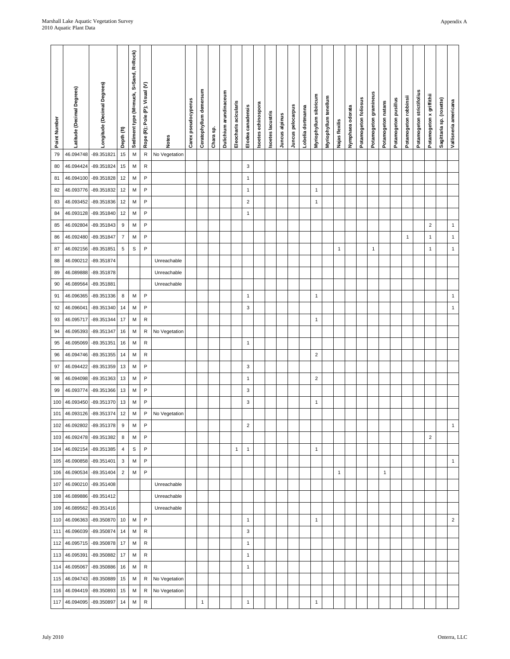|            |               |                  |                   |                |                  |                   |                       |                      |                      | Appendix A       |  |
|------------|---------------|------------------|-------------------|----------------|------------------|-------------------|-----------------------|----------------------|----------------------|------------------|--|
| s flexilis | phaea odorata | mogeton follosus | mogeton gramineus | mogeton natans | mogeton pusillus | mogeton robbinsii | mogeton strictifolius | mogeton x griffithii | ttaria sp. (rosette) | sneria americana |  |

| Point Number | Latitude (Decimal Degrees) | Longitude (Decimal Degrees) | Depth (ft)               | Sediment type (M=muck, S=Sand, R=Rock) | Rope (R); Pole (P); Visual (V) | <b>Notes</b>  | Carex pseudocyperus | Ceratophyllum demersum | Chara sp. | Dulichium arundinaceum | Eleocharis acicularis | Elodea canadensis | soetes echinospora | Isoetes lacustris | Juncus alpinus | Juncus pelocarpus | Lobelia dortmanna | Myriophyllum sibiricum | Myriophyllum tenellum | Najas flexilis | Nymphaea odorata | Potamogeton follosus | Potamogeton gramineus | Potamogeton natans | Potamogeton pusillus | Potamogeton robbinsii | Potamogeton strictifolius | Potamogeton x griffithii | Sagittaria sp. (rosette) | Vallisneria americana |
|--------------|----------------------------|-----------------------------|--------------------------|----------------------------------------|--------------------------------|---------------|---------------------|------------------------|-----------|------------------------|-----------------------|-------------------|--------------------|-------------------|----------------|-------------------|-------------------|------------------------|-----------------------|----------------|------------------|----------------------|-----------------------|--------------------|----------------------|-----------------------|---------------------------|--------------------------|--------------------------|-----------------------|
| 79           | 46.094748                  | -89.351821                  | 15                       | M                                      | ${\sf R}$                      | No Vegetation |                     |                        |           |                        |                       |                   |                    |                   |                |                   |                   |                        |                       |                |                  |                      |                       |                    |                      |                       |                           |                          |                          |                       |
| 80           | 46.094424                  | -89.351824                  | 15                       | M                                      | R                              |               |                     |                        |           |                        |                       | 3                 |                    |                   |                |                   |                   |                        |                       |                |                  |                      |                       |                    |                      |                       |                           |                          |                          |                       |
| 81           | 46.094100                  | -89.351828                  | 12                       | M                                      | $\mathsf{P}$                   |               |                     |                        |           |                        |                       | $\mathbf{1}$      |                    |                   |                |                   |                   |                        |                       |                |                  |                      |                       |                    |                      |                       |                           |                          |                          |                       |
| 82           | 46.093776                  | -89.351832                  | 12                       | М                                      | P                              |               |                     |                        |           |                        |                       | $\mathbf{1}$      |                    |                   |                |                   |                   | $\mathbf{1}$           |                       |                |                  |                      |                       |                    |                      |                       |                           |                          |                          |                       |
| 83           | 46.093452                  | -89.351836                  | 12                       | M                                      | P                              |               |                     |                        |           |                        |                       | $\overline{c}$    |                    |                   |                |                   |                   | $\mathbf{1}$           |                       |                |                  |                      |                       |                    |                      |                       |                           |                          |                          |                       |
| 84           | 46.093128                  | -89.351840                  | 12                       | M                                      | $\mathsf{P}$                   |               |                     |                        |           |                        |                       | $\mathbf{1}$      |                    |                   |                |                   |                   |                        |                       |                |                  |                      |                       |                    |                      |                       |                           |                          |                          |                       |
| 85           | 46.092804                  | -89.351843                  | 9                        | M                                      | $\mathsf{P}$                   |               |                     |                        |           |                        |                       |                   |                    |                   |                |                   |                   |                        |                       |                |                  |                      |                       |                    |                      |                       |                           | $\overline{c}$           |                          | $\mathbf 1$           |
| 86           | 46.092480                  | -89.351847                  | $\overline{\mathcal{I}}$ | M                                      | P                              |               |                     |                        |           |                        |                       |                   |                    |                   |                |                   |                   |                        |                       |                |                  |                      |                       |                    |                      | 1                     |                           | $\mathbf{1}$             |                          | $\mathbf{1}$          |
| 87           | 46.092156                  | -89.351851                  | 5                        | S                                      | P                              |               |                     |                        |           |                        |                       |                   |                    |                   |                |                   |                   |                        |                       | $\mathbf{1}$   |                  |                      | $\mathbf{1}$          |                    |                      |                       |                           | 1                        |                          | $\mathbf{1}$          |
| 88           | 46.090212                  | -89.351874                  |                          |                                        |                                | Unreachable   |                     |                        |           |                        |                       |                   |                    |                   |                |                   |                   |                        |                       |                |                  |                      |                       |                    |                      |                       |                           |                          |                          |                       |
| 89           | 46.089888                  | -89.351878                  |                          |                                        |                                | Unreachable   |                     |                        |           |                        |                       |                   |                    |                   |                |                   |                   |                        |                       |                |                  |                      |                       |                    |                      |                       |                           |                          |                          |                       |
| 90           | 46.089564                  | -89.351881                  |                          |                                        |                                | Unreachable   |                     |                        |           |                        |                       |                   |                    |                   |                |                   |                   |                        |                       |                |                  |                      |                       |                    |                      |                       |                           |                          |                          |                       |
| 91           | 46.096365                  | -89.351336                  | 8                        | M                                      | $\mathsf{P}$                   |               |                     |                        |           |                        |                       | $\mathbf{1}$      |                    |                   |                |                   |                   | $\mathbf{1}$           |                       |                |                  |                      |                       |                    |                      |                       |                           |                          |                          | $\mathbf{1}$          |
| 92           | 46.096041                  | -89.351340                  | 14                       | M                                      | P                              |               |                     |                        |           |                        |                       | 3                 |                    |                   |                |                   |                   |                        |                       |                |                  |                      |                       |                    |                      |                       |                           |                          |                          | $\mathbf{1}$          |
| 93           | 46.095717                  | -89.351344                  | 17                       | М                                      | R                              |               |                     |                        |           |                        |                       |                   |                    |                   |                |                   |                   | $\mathbf{1}$           |                       |                |                  |                      |                       |                    |                      |                       |                           |                          |                          |                       |
| 94<br>95     | 46.095393                  | -89.351347                  | 16                       | M                                      | R<br>R                         | No Vegetation |                     |                        |           |                        |                       | $\mathbf{1}$      |                    |                   |                |                   |                   |                        |                       |                |                  |                      |                       |                    |                      |                       |                           |                          |                          |                       |
| 96           | 46.095069<br>46.094746     | -89.351351<br>-89.351355    | 16<br>14                 | M<br>M                                 | R                              |               |                     |                        |           |                        |                       |                   |                    |                   |                |                   |                   | $\sqrt{2}$             |                       |                |                  |                      |                       |                    |                      |                       |                           |                          |                          |                       |
| 97           | 46.094422                  | -89.351359                  | 13                       | M                                      | P                              |               |                     |                        |           |                        |                       | 3                 |                    |                   |                |                   |                   |                        |                       |                |                  |                      |                       |                    |                      |                       |                           |                          |                          |                       |
| 98           | 46.094098                  | -89.351363                  | 13                       | М                                      | $\mathsf{P}$                   |               |                     |                        |           |                        |                       | $\mathbf{1}$      |                    |                   |                |                   |                   | $\sqrt{2}$             |                       |                |                  |                      |                       |                    |                      |                       |                           |                          |                          |                       |
| 99           | 46.093774                  | -89.351366                  | 13                       | M                                      | $\mathsf{P}$                   |               |                     |                        |           |                        |                       | 3                 |                    |                   |                |                   |                   |                        |                       |                |                  |                      |                       |                    |                      |                       |                           |                          |                          |                       |
| 100          | 46.093450                  | -89.351370                  | 13                       | M                                      | P                              |               |                     |                        |           |                        |                       | 3                 |                    |                   |                |                   |                   | $\mathbf{1}$           |                       |                |                  |                      |                       |                    |                      |                       |                           |                          |                          |                       |
| 101          | 46.093126                  | -89.351374                  | 12                       | M                                      | P                              | No Vegetation |                     |                        |           |                        |                       |                   |                    |                   |                |                   |                   |                        |                       |                |                  |                      |                       |                    |                      |                       |                           |                          |                          |                       |
| 102          | 46.092802                  | -89.351378                  | 9                        | M                                      | P                              |               |                     |                        |           |                        |                       | $\sqrt{2}$        |                    |                   |                |                   |                   |                        |                       |                |                  |                      |                       |                    |                      |                       |                           |                          |                          | $\mathbf{1}$          |
| 103          | 46.092478                  | -89.351382                  | 8                        | M                                      | $\mathsf{P}$                   |               |                     |                        |           |                        |                       |                   |                    |                   |                |                   |                   |                        |                       |                |                  |                      |                       |                    |                      |                       |                           | $\sqrt{2}$               |                          |                       |
| 104          | 46.092154                  | -89.351385                  | $\overline{4}$           | $\mathbb S$                            | P                              |               |                     |                        |           |                        | $\overline{1}$        | $\mathbf{1}$      |                    |                   |                |                   |                   | $\mathbf{1}$           |                       |                |                  |                      |                       |                    |                      |                       |                           |                          |                          |                       |
| 105          | 46.090858                  | $-89.351401$                | 3                        | M                                      | P                              |               |                     |                        |           |                        |                       |                   |                    |                   |                |                   |                   |                        |                       |                |                  |                      |                       |                    |                      |                       |                           |                          |                          | $\mathbf{1}$          |
| 106          | 46.090534                  | $-89.351404$                | $\overline{2}$           | M                                      | P                              |               |                     |                        |           |                        |                       |                   |                    |                   |                |                   |                   |                        |                       | $\mathbf{1}$   |                  |                      |                       | $\mathbf{1}$       |                      |                       |                           |                          |                          |                       |
| 107          | 46.090210                  | $-89.351408$                |                          |                                        |                                | Unreachable   |                     |                        |           |                        |                       |                   |                    |                   |                |                   |                   |                        |                       |                |                  |                      |                       |                    |                      |                       |                           |                          |                          |                       |
| 108          | 46.089886                  | $-89.351412$                |                          |                                        |                                | Unreachable   |                     |                        |           |                        |                       |                   |                    |                   |                |                   |                   |                        |                       |                |                  |                      |                       |                    |                      |                       |                           |                          |                          |                       |
| 109          | 46.089562                  | $-89.351416$                |                          |                                        |                                | Unreachable   |                     |                        |           |                        |                       |                   |                    |                   |                |                   |                   |                        |                       |                |                  |                      |                       |                    |                      |                       |                           |                          |                          |                       |
| 110          | 46.096363                  | -89.350870                  | 10                       | M                                      | $\mathsf{P}$                   |               |                     |                        |           |                        |                       | $\mathbf{1}$      |                    |                   |                |                   |                   | $\mathbf{1}$           |                       |                |                  |                      |                       |                    |                      |                       |                           |                          |                          | $\overline{c}$        |
| 111          | 46.096039                  | -89.350874                  | 14                       | M                                      | R                              |               |                     |                        |           |                        |                       | 3                 |                    |                   |                |                   |                   |                        |                       |                |                  |                      |                       |                    |                      |                       |                           |                          |                          |                       |
| 112          | 46.095715                  | -89.350878                  | 17                       | M                                      | R                              |               |                     |                        |           |                        |                       | $\mathbf{1}$      |                    |                   |                |                   |                   |                        |                       |                |                  |                      |                       |                    |                      |                       |                           |                          |                          |                       |
| 113          | 46.095391                  | -89.350882                  | 17                       | M                                      | $\mathsf{R}$                   |               |                     |                        |           |                        |                       | $\mathbf{1}$      |                    |                   |                |                   |                   |                        |                       |                |                  |                      |                       |                    |                      |                       |                           |                          |                          |                       |
| 114          | 46.095067                  | -89.350886                  | 16                       | M                                      | R                              |               |                     |                        |           |                        |                       | $\mathbf{1}$      |                    |                   |                |                   |                   |                        |                       |                |                  |                      |                       |                    |                      |                       |                           |                          |                          |                       |
| 115          | 46.094743                  | -89.350889                  | 15                       | M                                      | ${\sf R}$                      | No Vegetation |                     |                        |           |                        |                       |                   |                    |                   |                |                   |                   |                        |                       |                |                  |                      |                       |                    |                      |                       |                           |                          |                          |                       |
| 116          | 46.094419                  | -89.350893                  | 15                       | M                                      | R                              | No Vegetation |                     |                        |           |                        |                       |                   |                    |                   |                |                   |                   |                        |                       |                |                  |                      |                       |                    |                      |                       |                           |                          |                          |                       |
| 117          | 46.094095                  | -89.350897                  | 14                       | M                                      | ${\sf R}$                      |               |                     | $\mathbf{1}$           |           |                        |                       | $\mathbf{1}$      |                    |                   |                |                   |                   | $\mathbf{1}$           |                       |                |                  |                      |                       |                    |                      |                       |                           |                          |                          |                       |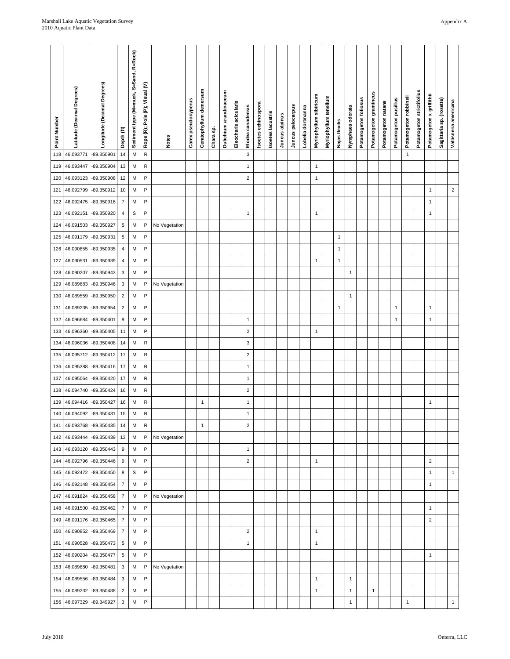l.

| Point Numbe | Latitude (Decimal Degrees) | Longitude (Decimal Degrees) | Depth (ft)               | Sediment type (M=muck, S=Sand, R=Rock) | Rope (R); Pole (P); Visual (V) | Notes         | Carex pseudocyperus | Ceratophyllum demersum | Chara sp. | Dulichium arundinaceum | Eleocharis acicularis | Elodea canadensis         | soetes echinospora | Isoetes lacustris | Juncus alpinus | Juncus pelocarpus | Lobelia dortmanna | Myriophyllum sibiricu | Myriophyllum tenellum | Najas flexilis | Nymphaea odorata | Potamogeton follosus | Potamogeton gramineus | Potamogeton natans | Potamogeton pusillus | Potamogeton robbinsii | Potamogeton strictifolius | Potamogeton x griffithii | Sagittaria sp. (rosette) | Vallisneria americana |
|-------------|----------------------------|-----------------------------|--------------------------|----------------------------------------|--------------------------------|---------------|---------------------|------------------------|-----------|------------------------|-----------------------|---------------------------|--------------------|-------------------|----------------|-------------------|-------------------|-----------------------|-----------------------|----------------|------------------|----------------------|-----------------------|--------------------|----------------------|-----------------------|---------------------------|--------------------------|--------------------------|-----------------------|
| 118         | 46.093771                  | -89.350901                  | 14                       | M                                      | ${\sf R}$                      |               |                     |                        |           |                        |                       | $\mathsf 3$               |                    |                   |                |                   |                   |                       |                       |                |                  |                      |                       |                    |                      | $\mathbf{1}$          |                           |                          |                          |                       |
| 119         | 46.093447                  | -89.350904                  | 13                       | M                                      | R                              |               |                     |                        |           |                        |                       | $\mathbf{1}$              |                    |                   |                |                   |                   | 1                     |                       |                |                  |                      |                       |                    |                      |                       |                           |                          |                          |                       |
| 120         | 46.093123                  | -89.350908                  | 12                       | M                                      | $\sf P$                        |               |                     |                        |           |                        |                       | $\sqrt{2}$                |                    |                   |                |                   |                   | $\mathbf{1}$          |                       |                |                  |                      |                       |                    |                      |                       |                           |                          |                          |                       |
| 121         | 46.092799                  | -89.350912                  | 10                       | М                                      | P                              |               |                     |                        |           |                        |                       |                           |                    |                   |                |                   |                   |                       |                       |                |                  |                      |                       |                    |                      |                       |                           | 1                        |                          | $\mathbf 2$           |
| 122         | 46.092475                  | -89.350916                  | $\overline{7}$           | М                                      | $\mathsf{P}$                   |               |                     |                        |           |                        |                       |                           |                    |                   |                |                   |                   |                       |                       |                |                  |                      |                       |                    |                      |                       |                           | $\mathbf{1}$             |                          |                       |
| 123         | 46.092151                  | -89.350920                  | $\overline{4}$           | S                                      | P                              |               |                     |                        |           |                        |                       | $\mathbf{1}$              |                    |                   |                |                   |                   | 1                     |                       |                |                  |                      |                       |                    |                      |                       |                           | $\mathbf{1}$             |                          |                       |
| 124         | 46.091503                  | -89.350927                  | $\sqrt{5}$               | М                                      | P                              | No Vegetation |                     |                        |           |                        |                       |                           |                    |                   |                |                   |                   |                       |                       |                |                  |                      |                       |                    |                      |                       |                           |                          |                          |                       |
| 125         | 46.091179                  | -89.350931                  | $\sqrt{5}$               | M                                      | $\mathsf{P}$                   |               |                     |                        |           |                        |                       |                           |                    |                   |                |                   |                   |                       |                       | $\mathbf{1}$   |                  |                      |                       |                    |                      |                       |                           |                          |                          |                       |
| 126         | 46.090855                  | -89.350935                  | $\overline{4}$           | M                                      | P                              |               |                     |                        |           |                        |                       |                           |                    |                   |                |                   |                   |                       |                       | $\mathbf{1}$   |                  |                      |                       |                    |                      |                       |                           |                          |                          |                       |
| 127         | 46.090531                  | -89.350939                  | $\overline{4}$           | М                                      | P                              |               |                     |                        |           |                        |                       |                           |                    |                   |                |                   |                   | 1                     |                       | $\mathbf{1}$   |                  |                      |                       |                    |                      |                       |                           |                          |                          |                       |
| 128         | 46.090207                  | -89.350943                  | $\mathbf{3}$             | M                                      | P                              |               |                     |                        |           |                        |                       |                           |                    |                   |                |                   |                   |                       |                       |                | $\mathbf{1}$     |                      |                       |                    |                      |                       |                           |                          |                          |                       |
| 129         | 46.089883                  | -89.350946                  | $\mathsf 3$              | M                                      | $\sf P$                        | No Vegetation |                     |                        |           |                        |                       |                           |                    |                   |                |                   |                   |                       |                       |                |                  |                      |                       |                    |                      |                       |                           |                          |                          |                       |
| 130         | 46.089559                  | -89.350950                  | $\sqrt{2}$<br>$\sqrt{2}$ | M                                      | P<br>$\mathsf{P}$              |               |                     |                        |           |                        |                       |                           |                    |                   |                |                   |                   |                       |                       |                | $\mathbf{1}$     |                      |                       |                    | 1                    |                       |                           | $\mathbf{1}$             |                          |                       |
| 131<br>132  | 46.089235<br>46.096684     | -89.350954<br>-89.350401    | $\boldsymbol{9}$         | М<br>М                                 | P                              |               |                     |                        |           |                        |                       | $\mathbf{1}$              |                    |                   |                |                   |                   |                       |                       | 1              |                  |                      |                       |                    | 1                    |                       |                           | $\mathbf{1}$             |                          |                       |
| 133         | 46.096360                  | -89.350405                  | 11                       | M                                      | $\sf P$                        |               |                     |                        |           |                        |                       | $\sqrt{2}$                |                    |                   |                |                   |                   | 1                     |                       |                |                  |                      |                       |                    |                      |                       |                           |                          |                          |                       |
| 134         | 46.096036                  | -89.350408                  | 14                       | М                                      | ${\sf R}$                      |               |                     |                        |           |                        |                       | $\ensuremath{\mathsf{3}}$ |                    |                   |                |                   |                   |                       |                       |                |                  |                      |                       |                    |                      |                       |                           |                          |                          |                       |
| 135         | 46.095712                  | -89.350412                  | 17                       | М                                      | R                              |               |                     |                        |           |                        |                       | $\overline{\mathbf{c}}$   |                    |                   |                |                   |                   |                       |                       |                |                  |                      |                       |                    |                      |                       |                           |                          |                          |                       |
| 136         | 46.095388                  | -89.350416                  | 17                       | M                                      | ${\sf R}$                      |               |                     |                        |           |                        |                       | $\mathbf{1}$              |                    |                   |                |                   |                   |                       |                       |                |                  |                      |                       |                    |                      |                       |                           |                          |                          |                       |
| 137         | 46.095064                  | -89.350420                  | 17                       | M                                      | R                              |               |                     |                        |           |                        |                       | $\mathbf{1}$              |                    |                   |                |                   |                   |                       |                       |                |                  |                      |                       |                    |                      |                       |                           |                          |                          |                       |
| 138         | 46.094740                  | -89.350424                  | 16                       | М                                      | ${\sf R}$                      |               |                     |                        |           |                        |                       | $\sqrt{2}$                |                    |                   |                |                   |                   |                       |                       |                |                  |                      |                       |                    |                      |                       |                           |                          |                          |                       |
| 139         | 46.094416                  | -89.350427                  | 16                       | М                                      | ${\sf R}$                      |               |                     | $\mathbf{1}$           |           |                        |                       | $\mathbf{1}$              |                    |                   |                |                   |                   |                       |                       |                |                  |                      |                       |                    |                      |                       |                           | $\mathbf{1}$             |                          |                       |
| 140         | 46.094092                  | -89.350431                  | 15                       | M                                      | ${\sf R}$                      |               |                     |                        |           |                        |                       | $\mathbf{1}$              |                    |                   |                |                   |                   |                       |                       |                |                  |                      |                       |                    |                      |                       |                           |                          |                          |                       |
| 141         |                            | 46.093768 -89.350435        | 14                       | M                                      | ${\sf R}$                      |               |                     | $\mathbf{1}$           |           |                        |                       | $\sqrt{2}$                |                    |                   |                |                   |                   |                       |                       |                |                  |                      |                       |                    |                      |                       |                           |                          |                          |                       |
| 142         | 46.093444                  | -89.350439                  | 13                       | M                                      | $\mathsf{P}$                   | No Vegetation |                     |                        |           |                        |                       |                           |                    |                   |                |                   |                   |                       |                       |                |                  |                      |                       |                    |                      |                       |                           |                          |                          |                       |
| 143         |                            | 46.093120 -89.350443        | $\boldsymbol{9}$         | M                                      | P                              |               |                     |                        |           |                        |                       | $\mathbf{1}$              |                    |                   |                |                   |                   |                       |                       |                |                  |                      |                       |                    |                      |                       |                           |                          |                          |                       |
| 144         |                            | 46.092796 -89.350446        | $\boldsymbol{9}$         | M                                      | P                              |               |                     |                        |           |                        |                       | $\overline{2}$            |                    |                   |                |                   |                   | 1                     |                       |                |                  |                      |                       |                    |                      |                       |                           | $\sqrt{2}$               |                          |                       |
| 145         | 46.092472                  | -89.350450                  | 8                        | S                                      | P                              |               |                     |                        |           |                        |                       |                           |                    |                   |                |                   |                   |                       |                       |                |                  |                      |                       |                    |                      |                       |                           | $\mathbf{1}$             |                          | $\mathbf{1}$          |
| 146         | 46.092148                  | -89.350454                  | $\overline{7}$           | M                                      | P                              |               |                     |                        |           |                        |                       |                           |                    |                   |                |                   |                   |                       |                       |                |                  |                      |                       |                    |                      |                       |                           | 1                        |                          |                       |
| 147         | 46.091824                  | -89.350458                  | $\overline{7}$           | M                                      | $\mathsf{P}$                   | No Vegetation |                     |                        |           |                        |                       |                           |                    |                   |                |                   |                   |                       |                       |                |                  |                      |                       |                    |                      |                       |                           |                          |                          |                       |
| 148         |                            | 46.091500 -89.350462        | $\overline{7}$           | M                                      | P                              |               |                     |                        |           |                        |                       |                           |                    |                   |                |                   |                   |                       |                       |                |                  |                      |                       |                    |                      |                       |                           | $\mathbf{1}$             |                          |                       |
| 149         | 46.091176                  | -89.350465                  | $\overline{7}$           | M                                      | P                              |               |                     |                        |           |                        |                       |                           |                    |                   |                |                   |                   |                       |                       |                |                  |                      |                       |                    |                      |                       |                           | $\mathbf 2$              |                          |                       |
| 150         | 46.090852                  | -89.350469                  | $\overline{7}$           | M                                      | P                              |               |                     |                        |           |                        |                       | $\sqrt{2}$                |                    |                   |                |                   |                   | $\mathbf{1}$          |                       |                |                  |                      |                       |                    |                      |                       |                           |                          |                          |                       |
| 151         |                            | 46.090528 -89.350473        | $\sqrt{5}$               | M                                      | P                              |               |                     |                        |           |                        |                       | $\mathbf{1}$              |                    |                   |                |                   |                   | 1                     |                       |                |                  |                      |                       |                    |                      |                       |                           |                          |                          |                       |
| 152         | 46.090204                  | -89.350477                  | $\overline{5}$           | M                                      | P                              |               |                     |                        |           |                        |                       |                           |                    |                   |                |                   |                   |                       |                       |                |                  |                      |                       |                    |                      |                       |                           | $\mathbf{1}$             |                          |                       |
| 153         | 46.089880                  | -89.350481                  | $\mathbf{3}$             | M                                      | P                              | No Vegetation |                     |                        |           |                        |                       |                           |                    |                   |                |                   |                   |                       |                       |                |                  |                      |                       |                    |                      |                       |                           |                          |                          |                       |
| 154         | 46.089556                  | -89.350484                  | $\mathbf{3}$             | M                                      | P                              |               |                     |                        |           |                        |                       |                           |                    |                   |                |                   |                   | $\mathbf{1}$          |                       |                | $\mathbf{1}$     |                      |                       |                    |                      |                       |                           |                          |                          |                       |
| 155         | 46.089232                  | -89.350488                  | $\overline{2}$           | M                                      | P                              |               |                     |                        |           |                        |                       |                           |                    |                   |                |                   |                   | 1                     |                       |                | $\mathbf{1}$     |                      | $\mathbf{1}$          |                    |                      |                       |                           |                          |                          |                       |
| 156         | 46.097329                  | -89.349927                  | $\mathbf{3}$             | M                                      | P                              |               |                     |                        |           |                        |                       |                           |                    |                   |                |                   |                   |                       |                       |                | $\mathbf{1}$     |                      |                       |                    |                      | $\mathbf{1}$          |                           |                          |                          | $\mathbf{1}$          |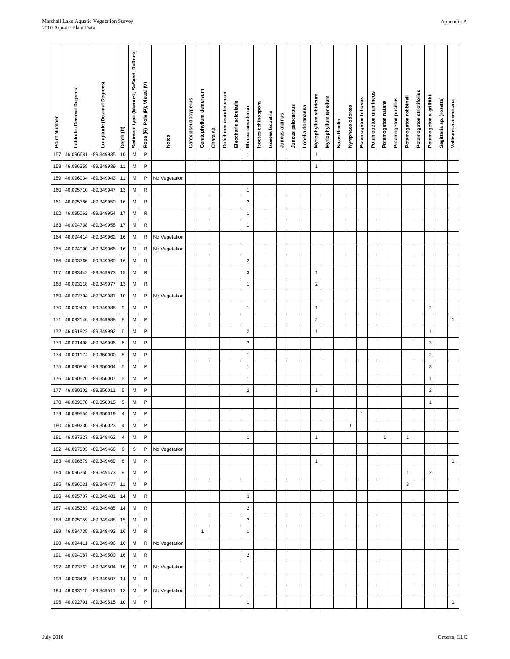l.

| Point Numbe | Latitude (Decimal Degrees) | Longitude (Decimal Degrees) | Depth (ft)     | Sediment type (M=muck, S=Sand, R=Rock) | Rope (R); Pole (P); Visual (V) | Notes         | Carex pseudocyperus | Ceratophyllum demersum | Chara sp. | Dulichium arundinaceum | Eleocharis acicularis | Elodea canadensis | Isoetes echinospora | Isoetes lacustris | Juncus alpinus | Juncus pelocarpus | Lobelia dortmanna | Myriophyllum sibiricum | Myriophyllum tenellum | Najas flexilis | Nymphaea odorata | Potamogeton foliosus | Potamogeton gramineus | Potamogeton natans | Potamogeton pusillus | Potamogeton robbinsii | Potamogeton strictifolius | Potamogeton x griffithii | Sagittaria sp. (rosette) | Vallisneria americana |
|-------------|----------------------------|-----------------------------|----------------|----------------------------------------|--------------------------------|---------------|---------------------|------------------------|-----------|------------------------|-----------------------|-------------------|---------------------|-------------------|----------------|-------------------|-------------------|------------------------|-----------------------|----------------|------------------|----------------------|-----------------------|--------------------|----------------------|-----------------------|---------------------------|--------------------------|--------------------------|-----------------------|
| 157         | 46.096681                  | -89.349935                  | $10$           | M                                      | P                              |               |                     |                        |           |                        |                       | $\mathbf{1}$      |                     |                   |                |                   |                   | $\mathbf{1}$           |                       |                |                  |                      |                       |                    |                      |                       |                           |                          |                          |                       |
| 158         | 46.096358                  | -89.349939                  | 11             | M                                      | P                              |               |                     |                        |           |                        |                       |                   |                     |                   |                |                   |                   | $\mathbf{1}$           |                       |                |                  |                      |                       |                    |                      |                       |                           |                          |                          |                       |
| 159         | 46.096034                  | -89.349943                  | 11             | M                                      | P                              | No Vegetation |                     |                        |           |                        |                       |                   |                     |                   |                |                   |                   |                        |                       |                |                  |                      |                       |                    |                      |                       |                           |                          |                          |                       |
| 160         | 46.095710                  | -89.349947                  | 13             | M                                      | R                              |               |                     |                        |           |                        |                       | $\mathbf{1}$      |                     |                   |                |                   |                   |                        |                       |                |                  |                      |                       |                    |                      |                       |                           |                          |                          |                       |
| 161         | 46.095386                  | -89.349950                  | 16             | M                                      | R                              |               |                     |                        |           |                        |                       | $\sqrt{2}$        |                     |                   |                |                   |                   |                        |                       |                |                  |                      |                       |                    |                      |                       |                           |                          |                          |                       |
| 162         | 46.095062                  | -89.349954                  | 17             | M                                      | R                              |               |                     |                        |           |                        |                       | $\mathbf{1}$      |                     |                   |                |                   |                   |                        |                       |                |                  |                      |                       |                    |                      |                       |                           |                          |                          |                       |
| 163         | 46.094738                  | -89.349958                  | 17             | M                                      | R                              |               |                     |                        |           |                        |                       | $\mathbf{1}$      |                     |                   |                |                   |                   |                        |                       |                |                  |                      |                       |                    |                      |                       |                           |                          |                          |                       |
| 164         | 46.094414                  | -89.349962                  | 16             | M                                      | R                              | No Vegetation |                     |                        |           |                        |                       |                   |                     |                   |                |                   |                   |                        |                       |                |                  |                      |                       |                    |                      |                       |                           |                          |                          |                       |
| 165         | 46.094090                  | -89.349966                  | 16             | M                                      | R                              | No Vegetation |                     |                        |           |                        |                       |                   |                     |                   |                |                   |                   |                        |                       |                |                  |                      |                       |                    |                      |                       |                           |                          |                          |                       |
| 166         | 46.093766<br>46.093442     | -89.349969<br>-89.349973    | 16<br>15       | M<br>M                                 | R<br>R                         |               |                     |                        |           |                        |                       | $\sqrt{2}$<br>3   |                     |                   |                |                   |                   | 1                      |                       |                |                  |                      |                       |                    |                      |                       |                           |                          |                          |                       |
| 167<br>168  | 46.093118                  | -89.349977                  | 13             | M                                      | R                              |               |                     |                        |           |                        |                       | $\mathbf{1}$      |                     |                   |                |                   |                   | $\mathbf 2$            |                       |                |                  |                      |                       |                    |                      |                       |                           |                          |                          |                       |
| 169         | 46.092794                  | -89.349981                  | 10             | M                                      | P                              | No Vegetation |                     |                        |           |                        |                       |                   |                     |                   |                |                   |                   |                        |                       |                |                  |                      |                       |                    |                      |                       |                           |                          |                          |                       |
| 170         | 46.092470                  | -89.349985                  | $9\,$          | M                                      | P                              |               |                     |                        |           |                        |                       | $\mathbf{1}$      |                     |                   |                |                   |                   | $\mathbf{1}$           |                       |                |                  |                      |                       |                    |                      |                       |                           | $\sqrt{2}$               |                          |                       |
| 171         | 46.092146                  | -89.349988                  | 8              | M                                      | P                              |               |                     |                        |           |                        |                       |                   |                     |                   |                |                   |                   | $\boldsymbol{2}$       |                       |                |                  |                      |                       |                    |                      |                       |                           |                          |                          | $\mathbf{1}$          |
| 172         | 46.091822                  | -89.349992                  | 6              | M                                      | P                              |               |                     |                        |           |                        |                       | $\overline{c}$    |                     |                   |                |                   |                   | $\mathbf{1}$           |                       |                |                  |                      |                       |                    |                      |                       |                           | $\mathbf{1}$             |                          |                       |
| 173         | 46.091498                  | -89.349996                  | 6              | М                                      | P                              |               |                     |                        |           |                        |                       | $\sqrt{2}$        |                     |                   |                |                   |                   |                        |                       |                |                  |                      |                       |                    |                      |                       |                           | 3                        |                          |                       |
| 174         | 46.091174                  | -89.350000                  | $\,$ 5 $\,$    | M                                      | P                              |               |                     |                        |           |                        |                       | $\mathbf{1}$      |                     |                   |                |                   |                   |                        |                       |                |                  |                      |                       |                    |                      |                       |                           | $\overline{c}$           |                          |                       |
| 175         | 46.090850                  | -89.350004                  | $\sqrt{5}$     | M                                      | P                              |               |                     |                        |           |                        |                       | $\mathbf{1}$      |                     |                   |                |                   |                   |                        |                       |                |                  |                      |                       |                    |                      |                       |                           | 3                        |                          |                       |
| 176         | 46.090526                  | -89.350007                  | $\,$ 5 $\,$    | M                                      | P                              |               |                     |                        |           |                        |                       | $\mathbf{1}$      |                     |                   |                |                   |                   |                        |                       |                |                  |                      |                       |                    |                      |                       |                           | $\mathbf{1}$             |                          |                       |
| 177         | 46.090202                  | -89.350011                  | $\,$ 5 $\,$    | M                                      | P                              |               |                     |                        |           |                        |                       | $\overline{c}$    |                     |                   |                |                   |                   | $\mathbf{1}$           |                       |                |                  |                      |                       |                    |                      |                       |                           | $\sqrt{2}$               |                          |                       |
| 178         | 46.089878                  | -89.350015                  | $\sqrt{5}$     | M                                      | P                              |               |                     |                        |           |                        |                       |                   |                     |                   |                |                   |                   |                        |                       |                |                  |                      |                       |                    |                      |                       |                           | $\mathbf{1}$             |                          |                       |
| 179         | 46.089554                  | -89.350019                  | $\overline{4}$ | M                                      | P                              |               |                     |                        |           |                        |                       |                   |                     |                   |                |                   |                   |                        |                       |                |                  | $\mathbf{1}$         |                       |                    |                      |                       |                           |                          |                          |                       |
| 180         | 46.089230                  | -89.350023                  | $\overline{4}$ | M                                      | P                              |               |                     |                        |           |                        |                       |                   |                     |                   |                |                   |                   |                        |                       |                | $\mathbf{1}$     |                      |                       |                    |                      |                       |                           |                          |                          |                       |
| 181         | 46.097327                  | -89.349462                  | $\overline{4}$ | M                                      | P                              |               |                     |                        |           |                        |                       | $\mathbf{1}$      |                     |                   |                |                   |                   | $\mathbf{1}$           |                       |                |                  |                      |                       | $\mathbf{1}$       |                      | $\mathbf{1}$          |                           |                          |                          |                       |
| 182         | 46.097003                  | -89.349466                  | 6              | $\mathsf S$                            | P                              | No Vegetation |                     |                        |           |                        |                       |                   |                     |                   |                |                   |                   |                        |                       |                |                  |                      |                       |                    |                      |                       |                           |                          |                          |                       |
| 183         | 46.096679                  | -89.349469                  | 8              | M                                      | P                              |               |                     |                        |           |                        |                       |                   |                     |                   |                |                   |                   | $\mathbf{1}$           |                       |                |                  |                      |                       |                    |                      |                       |                           |                          |                          | $\mathbf{1}$          |
| 184         | 46.096355                  | -89.349473                  | 9              | M                                      | P                              |               |                     |                        |           |                        |                       |                   |                     |                   |                |                   |                   |                        |                       |                |                  |                      |                       |                    |                      | $\mathbf{1}$          |                           | $\sqrt{2}$               |                          |                       |
| 185         | 46.096031                  | -89.349477                  | 11             | M                                      | P                              |               |                     |                        |           |                        |                       |                   |                     |                   |                |                   |                   |                        |                       |                |                  |                      |                       |                    |                      | 3                     |                           |                          |                          |                       |
| 186         | 46.095707                  | -89.349481                  | 14             | M                                      | R                              |               |                     |                        |           |                        |                       | 3                 |                     |                   |                |                   |                   |                        |                       |                |                  |                      |                       |                    |                      |                       |                           |                          |                          |                       |
| 187         |                            | 46.095383 -89.349485        | 14             | M                                      | R                              |               |                     |                        |           |                        |                       | $\sqrt{2}$        |                     |                   |                |                   |                   |                        |                       |                |                  |                      |                       |                    |                      |                       |                           |                          |                          |                       |
| 188         | 46.095059                  | -89.349488                  | 15             | M                                      | R                              |               |                     |                        |           |                        |                       | $\overline{c}$    |                     |                   |                |                   |                   |                        |                       |                |                  |                      |                       |                    |                      |                       |                           |                          |                          |                       |
| 189         | 46.094735                  | -89.349492                  | 16             | M                                      | R                              |               |                     | $\mathbf{1}$           |           |                        |                       | $\mathbf{1}$      |                     |                   |                |                   |                   |                        |                       |                |                  |                      |                       |                    |                      |                       |                           |                          |                          |                       |
| 190         | 46.094411                  | -89.349496                  | 16             | M                                      | R                              | No Vegetation |                     |                        |           |                        |                       |                   |                     |                   |                |                   |                   |                        |                       |                |                  |                      |                       |                    |                      |                       |                           |                          |                          |                       |
| 191         | 46.094087                  | -89.349500                  | 16             | M                                      | R                              |               |                     |                        |           |                        |                       | $\overline{c}$    |                     |                   |                |                   |                   |                        |                       |                |                  |                      |                       |                    |                      |                       |                           |                          |                          |                       |
| 192<br>193  | 46.093763<br>46.093439     | -89.349504<br>-89.349507    | 16<br>14       | M<br>M                                 | R<br>R                         | No Vegetation |                     |                        |           |                        |                       | $\mathbf{1}$      |                     |                   |                |                   |                   |                        |                       |                |                  |                      |                       |                    |                      |                       |                           |                          |                          |                       |
| 194         | 46.093115                  | -89.349511                  | 13             | M                                      | P                              | No Vegetation |                     |                        |           |                        |                       |                   |                     |                   |                |                   |                   |                        |                       |                |                  |                      |                       |                    |                      |                       |                           |                          |                          |                       |
| 195         | 46.092791                  | -89.349515                  | 10             | M                                      | P                              |               |                     |                        |           |                        |                       | $\mathbf{1}$      |                     |                   |                |                   |                   |                        |                       |                |                  |                      |                       |                    |                      |                       |                           |                          |                          | $\mathbf{1}$          |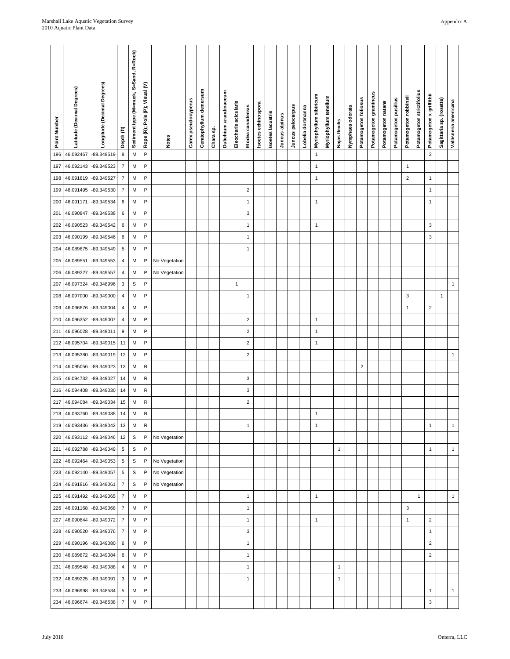| Point Number | Latitude (Decimal Degrees) | Longitude (Decimal Degrees)        | Depth (ft                     | Sediment type (M=muck, S=Sand, R=Rock) | Rope (R); Pole (P); Visual (V) | <b>Notes</b>  | Carex pseudocyperus | Ceratophyllum demersum | Chara sp. | Dulichium arundinaceum | Eleocharis acicularis | Elodea canadensis            | soetes echinospora | soetes lacustris | Juncus alpinus | Juncus pelocarpus | Lobelia dortmanna | Myriophyllum sibiricum | Myriophyllum tenellum | Najas flexilis               | Nymphaea odorata | Potamogeton follosus | Potamogeton gramineus | Potamogeton natans | Potamogeton pusillus | Potamogeton robbinsii | Potamogeton strictifolius | Potamogeton x griffithii | Sagittaria sp. (rosette) | Vallisneria americana |
|--------------|----------------------------|------------------------------------|-------------------------------|----------------------------------------|--------------------------------|---------------|---------------------|------------------------|-----------|------------------------|-----------------------|------------------------------|--------------------|------------------|----------------|-------------------|-------------------|------------------------|-----------------------|------------------------------|------------------|----------------------|-----------------------|--------------------|----------------------|-----------------------|---------------------------|--------------------------|--------------------------|-----------------------|
| 196          | 46.092467                  | -89.349519                         | $\bf8$                        | M                                      | P                              |               |                     |                        |           |                        |                       |                              |                    |                  |                |                   |                   | $\mathbf{1}$           |                       |                              |                  |                      |                       |                    |                      |                       |                           | $\mathbf 2$              |                          |                       |
| 197          | 46.092143                  | -89.349523                         | $\overline{7}$                | M                                      | P                              |               |                     |                        |           |                        |                       |                              |                    |                  |                |                   |                   | $\mathbf{1}$           |                       |                              |                  |                      |                       |                    |                      | $\mathbf{1}$          |                           |                          |                          |                       |
| 198          | 46.091819                  | -89.349527                         | $\boldsymbol{7}$              | M                                      | P                              |               |                     |                        |           |                        |                       |                              |                    |                  |                |                   |                   | $\mathbf{1}$           |                       |                              |                  |                      |                       |                    |                      | $\boldsymbol{2}$      |                           | $\mathbf{1}$             |                          |                       |
| 199          | 46.091495                  | -89.349530                         | $\overline{7}$                | М                                      | P                              |               |                     |                        |           |                        |                       | 2                            |                    |                  |                |                   |                   |                        |                       |                              |                  |                      |                       |                    |                      |                       |                           | $\mathbf{1}$             |                          |                       |
| 200          | 46.091171                  | -89.349534                         | 6                             | M                                      | P                              |               |                     |                        |           |                        |                       | $\mathbf{1}$                 |                    |                  |                |                   |                   | 1                      |                       |                              |                  |                      |                       |                    |                      |                       |                           | $\mathbf{1}$             |                          |                       |
| 201          | 46.090847                  | -89.349538                         | 6                             | M                                      | P                              |               |                     |                        |           |                        |                       | 3                            |                    |                  |                |                   |                   |                        |                       |                              |                  |                      |                       |                    |                      |                       |                           |                          |                          |                       |
| 202          | 46.090523                  | -89.349542                         | 6                             | M                                      | P                              |               |                     |                        |           |                        |                       | $\mathbf{1}$                 |                    |                  |                |                   |                   | $\mathbf{1}$           |                       |                              |                  |                      |                       |                    |                      |                       |                           | 3                        |                          |                       |
| 203          | 46.090199                  | -89.349546                         | 6                             | M                                      | P                              |               |                     |                        |           |                        |                       | $\mathbf{1}$                 |                    |                  |                |                   |                   |                        |                       |                              |                  |                      |                       |                    |                      |                       |                           | 3                        |                          |                       |
| 204          | 46.089875                  | -89.349549                         | $\,$ 5 $\,$                   | М                                      | P                              |               |                     |                        |           |                        |                       | $\mathbf{1}$                 |                    |                  |                |                   |                   |                        |                       |                              |                  |                      |                       |                    |                      |                       |                           |                          |                          |                       |
| 205          | 46.089551                  | -89.349553                         | $\overline{4}$                | M                                      | P                              | No Vegetation |                     |                        |           |                        |                       |                              |                    |                  |                |                   |                   |                        |                       |                              |                  |                      |                       |                    |                      |                       |                           |                          |                          |                       |
| 206<br>207   | 46.089227<br>46.097324     | -89.349557                         | $\overline{4}$<br>$\sqrt{3}$  | M<br>$\mbox{\textsf{s}}$               | P<br>P                         | No Vegetation |                     |                        |           |                        |                       |                              |                    |                  |                |                   |                   |                        |                       |                              |                  |                      |                       |                    |                      |                       |                           |                          |                          | $\mathbf{1}$          |
| 208          | 46.097000                  | -89.348996<br>-89.349000           | $\overline{4}$                | M                                      | P                              |               |                     |                        |           |                        | $\mathbf{1}$          | $\mathbf{1}$                 |                    |                  |                |                   |                   |                        |                       |                              |                  |                      |                       |                    |                      | 3                     |                           |                          | $\mathbf{1}$             |                       |
| 209          | 46.096676                  | -89.349004                         | $\overline{4}$                | M                                      | P                              |               |                     |                        |           |                        |                       |                              |                    |                  |                |                   |                   |                        |                       |                              |                  |                      |                       |                    |                      | 1                     |                           | $\sqrt{2}$               |                          |                       |
| 210          | 46.096352                  | -89.349007                         | $\overline{4}$                | М                                      | P                              |               |                     |                        |           |                        |                       | $\sqrt{2}$                   |                    |                  |                |                   |                   | $\mathbf{1}$           |                       |                              |                  |                      |                       |                    |                      |                       |                           |                          |                          |                       |
| 211          | 46.096028                  | -89.349011                         | $9\,$                         | M                                      | P                              |               |                     |                        |           |                        |                       | $\sqrt{2}$                   |                    |                  |                |                   |                   | 1                      |                       |                              |                  |                      |                       |                    |                      |                       |                           |                          |                          |                       |
| 212          | 46.095704                  | -89.349015                         | 11                            | M                                      | P                              |               |                     |                        |           |                        |                       | $\boldsymbol{2}$             |                    |                  |                |                   |                   | $\mathbf{1}$           |                       |                              |                  |                      |                       |                    |                      |                       |                           |                          |                          |                       |
| 213          | 46.095380                  | -89.349019                         | 12                            | M                                      | P                              |               |                     |                        |           |                        |                       | $\overline{\mathbf{c}}$      |                    |                  |                |                   |                   |                        |                       |                              |                  |                      |                       |                    |                      |                       |                           |                          |                          | $\mathbf{1}$          |
| 214          | 46.095056                  | -89.349023                         | 13                            | M                                      | R                              |               |                     |                        |           |                        |                       |                              |                    |                  |                |                   |                   |                        |                       |                              |                  | $\mathbf 2$          |                       |                    |                      |                       |                           |                          |                          |                       |
| 215          | 46.094732                  | -89.349027                         | 14                            | M                                      | R                              |               |                     |                        |           |                        |                       | 3                            |                    |                  |                |                   |                   |                        |                       |                              |                  |                      |                       |                    |                      |                       |                           |                          |                          |                       |
| 216          | 46.094408                  | -89.349030                         | $14$                          | M                                      | R                              |               |                     |                        |           |                        |                       | 3                            |                    |                  |                |                   |                   |                        |                       |                              |                  |                      |                       |                    |                      |                       |                           |                          |                          |                       |
| 217          | 46.094084                  | -89.349034                         | 15                            | M                                      | R                              |               |                     |                        |           |                        |                       | $\sqrt{2}$                   |                    |                  |                |                   |                   |                        |                       |                              |                  |                      |                       |                    |                      |                       |                           |                          |                          |                       |
| 218          | 46.093760                  | -89.349038                         | 14                            | M                                      | R                              |               |                     |                        |           |                        |                       |                              |                    |                  |                |                   |                   | $\mathbf{1}$           |                       |                              |                  |                      |                       |                    |                      |                       |                           |                          |                          |                       |
| 219          | 46.093436                  | -89.349042                         | 13                            | M                                      | R                              |               |                     |                        |           |                        |                       | $\mathbf{1}$                 |                    |                  |                |                   |                   | $\mathbf{1}$           |                       |                              |                  |                      |                       |                    |                      |                       |                           | $\overline{1}$           |                          | $\mathbf{1}$          |
| 220          | 46.093112                  | -89.349046                         | 12                            | $\mathsf S$                            | P                              | No Vegetation |                     |                        |           |                        |                       |                              |                    |                  |                |                   |                   |                        |                       |                              |                  |                      |                       |                    |                      |                       |                           |                          |                          |                       |
| 221          | 46.092788                  | -89.349049                         | $\sqrt{5}$                    | $\mathsf S$                            | P                              |               |                     |                        |           |                        |                       |                              |                    |                  |                |                   |                   |                        |                       | $\mathbf{1}$                 |                  |                      |                       |                    |                      |                       |                           | $\mathbf{1}$             |                          | $\mathbf{1}$          |
| 222          | 46.092464                  | -89.349053                         | $\overline{5}$                | $\mathsf S$                            | P                              | No Vegetation |                     |                        |           |                        |                       |                              |                    |                  |                |                   |                   |                        |                       |                              |                  |                      |                       |                    |                      |                       |                           |                          |                          |                       |
| 223          | 46.092140                  | -89.349057                         | $\sqrt{5}$                    | $\mathsf S$                            | P                              | No Vegetation |                     |                        |           |                        |                       |                              |                    |                  |                |                   |                   |                        |                       |                              |                  |                      |                       |                    |                      |                       |                           |                          |                          |                       |
| 224          | 46.091816                  | -89.349061                         | $\overline{7}$                | $\mathsf S$                            | P                              | No Vegetation |                     |                        |           |                        |                       |                              |                    |                  |                |                   |                   |                        |                       |                              |                  |                      |                       |                    |                      |                       |                           |                          |                          |                       |
| 225          | 46.091492                  | -89.349065                         | $\overline{7}$                | M                                      | P                              |               |                     |                        |           |                        |                       | $\mathbf{1}$                 |                    |                  |                |                   |                   | $\mathbf{1}$           |                       |                              |                  |                      |                       |                    |                      |                       | $\mathbf{1}$              |                          |                          | $\mathbf{1}$          |
| 226          |                            | 46.091168 -89.349068               | $\overline{7}$                | M                                      | P                              |               |                     |                        |           |                        |                       | $\mathbf{1}$                 |                    |                  |                |                   |                   |                        |                       |                              |                  |                      |                       |                    |                      | 3                     |                           |                          |                          |                       |
| 227          |                            | 46.090844 -89.349072               | $\overline{7}$                | M                                      | P                              |               |                     |                        |           |                        |                       | $\mathbf{1}$                 |                    |                  |                |                   |                   | $\mathbf{1}$           |                       |                              |                  |                      |                       |                    |                      | $\mathbf{1}$          |                           | $\overline{2}$           |                          |                       |
| 228          | 46.090520                  | -89.349076                         | $\overline{7}$                | M                                      | P                              |               |                     |                        |           |                        |                       | 3                            |                    |                  |                |                   |                   |                        |                       |                              |                  |                      |                       |                    |                      |                       |                           | $\mathbf{1}$             |                          |                       |
| 229          |                            | 46.090196 -89.349080               | 6                             | M                                      | P                              |               |                     |                        |           |                        |                       | $\mathbf{1}$                 |                    |                  |                |                   |                   |                        |                       |                              |                  |                      |                       |                    |                      |                       |                           | $\overline{c}$           |                          |                       |
| 230          | 46.089872                  | -89.349084                         | $\,6\,$                       | M                                      | P<br>P                         |               |                     |                        |           |                        |                       | $\mathbf{1}$                 |                    |                  |                |                   |                   |                        |                       |                              |                  |                      |                       |                    |                      |                       |                           | $\overline{2}$           |                          |                       |
| 231<br>232   | 46.089225                  | 46.089548 -89.349088<br>-89.349091 | $\overline{4}$<br>$\mathbf 3$ | M<br>M                                 | P                              |               |                     |                        |           |                        |                       | $\mathbf{1}$<br>$\mathbf{1}$ |                    |                  |                |                   |                   |                        |                       | $\mathbf{1}$<br>$\mathbf{1}$ |                  |                      |                       |                    |                      |                       |                           |                          |                          |                       |
| 233          | 46.096998                  | -89.348534                         | $\overline{5}$                | M                                      | P                              |               |                     |                        |           |                        |                       |                              |                    |                  |                |                   |                   |                        |                       |                              |                  |                      |                       |                    |                      |                       |                           | $\mathbf{1}$             |                          | $\mathbf{1}$          |
| 234          | 46.096674                  | -89.348538                         | $\overline{7}$                | M                                      | P                              |               |                     |                        |           |                        |                       |                              |                    |                  |                |                   |                   |                        |                       |                              |                  |                      |                       |                    |                      |                       |                           | $\mathsf 3$              |                          |                       |
|              |                            |                                    |                               |                                        |                                |               |                     |                        |           |                        |                       |                              |                    |                  |                |                   |                   |                        |                       |                              |                  |                      |                       |                    |                      |                       |                           |                          |                          |                       |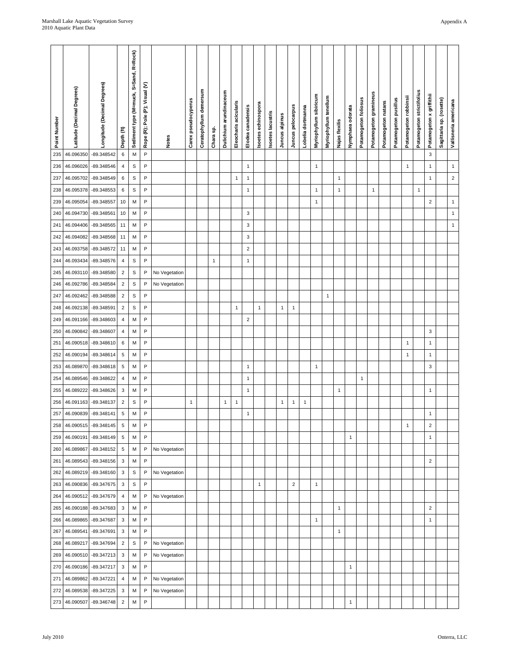| Point Number | Latitude (Decimal Degrees) | Longitude (Decimal Degrees) | Depth (ft)       | Sediment type (M=muck, S=Sand, R=Rock) | Rope (R); Pole (P); Visual (V) | <b>Notes</b>  | Carex pseudocyperus | Ceratophyllum demersum | Chara sp.    | Dulichium arundinaceum | Eleocharis acicularis | Elodea canadensis       | Isoetes echinospora | soetes lacustris | Juncus alpinus | Juncus pelocarpus | Lobelia dortmanna | Myriophyllum sibiricum | Myriophyllum tenellum | Najas flexilis | Nymphaea odorata | Potamogeton follosus | Potamogeton gramineus | Potamogeton natans | Potamogeton pusillus | Potamogeton robbinsi | Potamogeton strictifolius | Potamogeton x griffithii | Sagittaria sp. (rosette) | Vallisneria americana |
|--------------|----------------------------|-----------------------------|------------------|----------------------------------------|--------------------------------|---------------|---------------------|------------------------|--------------|------------------------|-----------------------|-------------------------|---------------------|------------------|----------------|-------------------|-------------------|------------------------|-----------------------|----------------|------------------|----------------------|-----------------------|--------------------|----------------------|----------------------|---------------------------|--------------------------|--------------------------|-----------------------|
| 235          | 46.096350                  | -89.348542                  | $\boldsymbol{6}$ | M                                      | P                              |               |                     |                        |              |                        |                       |                         |                     |                  |                |                   |                   |                        |                       |                |                  |                      |                       |                    |                      |                      |                           | 3                        |                          |                       |
| 236          | 46.096026                  | -89.348546                  | $\overline{4}$   | $\mathbb S$                            | P                              |               |                     |                        |              |                        |                       | $\mathbf{1}$            |                     |                  |                |                   |                   | $\mathbf{1}$           |                       |                |                  |                      |                       |                    |                      | $\mathbf{1}$         |                           | $\mathbf{1}$             |                          | $\mathbf{1}$          |
| 237          | 46.095702                  | -89.348549                  | 6                | S                                      | P                              |               |                     |                        |              |                        | 1                     | 1                       |                     |                  |                |                   |                   |                        |                       | 1              |                  |                      |                       |                    |                      |                      |                           | $\mathbf{1}$             |                          | $\sqrt{2}$            |
| 238          | 46.095378                  | -89.348553                  | $\boldsymbol{6}$ | $\mathsf S$                            | P                              |               |                     |                        |              |                        |                       | $\mathbf{1}$            |                     |                  |                |                   |                   | $\mathbf{1}$           |                       | $\mathbf{1}$   |                  |                      | $\mathbf{1}$          |                    |                      |                      | $\mathbf{1}$              |                          |                          |                       |
| 239          | 46.095054                  | -89.348557                  | 10               | M                                      | P                              |               |                     |                        |              |                        |                       |                         |                     |                  |                |                   |                   | $\mathbf{1}$           |                       |                |                  |                      |                       |                    |                      |                      |                           | $\overline{c}$           |                          | $\mathbf{1}$          |
| 240          | 46.094730                  | -89.348561                  | 10               | M                                      | P                              |               |                     |                        |              |                        |                       | 3                       |                     |                  |                |                   |                   |                        |                       |                |                  |                      |                       |                    |                      |                      |                           |                          |                          | $\mathbf{1}$          |
| 241          | 46.094406                  | -89.348565                  | 11               | M                                      | P                              |               |                     |                        |              |                        |                       | 3                       |                     |                  |                |                   |                   |                        |                       |                |                  |                      |                       |                    |                      |                      |                           |                          |                          | $\mathbf{1}$          |
| 242          | 46.094082                  | -89.348568                  | 11               | M                                      | P                              |               |                     |                        |              |                        |                       | 3                       |                     |                  |                |                   |                   |                        |                       |                |                  |                      |                       |                    |                      |                      |                           |                          |                          |                       |
| 243          | 46.093758                  | -89.348572                  | 11               | M                                      | P                              |               |                     |                        |              |                        |                       | $\overline{\mathbf{c}}$ |                     |                  |                |                   |                   |                        |                       |                |                  |                      |                       |                    |                      |                      |                           |                          |                          |                       |
| 244          | 46.093434                  | -89.348576                  | $\overline{4}$   | $\mathbb S$                            | P                              |               |                     |                        | $\mathbf{1}$ |                        |                       | $\mathbf{1}$            |                     |                  |                |                   |                   |                        |                       |                |                  |                      |                       |                    |                      |                      |                           |                          |                          |                       |
| 245          | 46.093110                  | -89.348580                  | $\sqrt{2}$       | $\mathbb S$                            | P                              | No Vegetation |                     |                        |              |                        |                       |                         |                     |                  |                |                   |                   |                        |                       |                |                  |                      |                       |                    |                      |                      |                           |                          |                          |                       |
| 246          | 46.092786                  | -89.348584                  | $\sqrt{2}$       | $\mbox{\textsc{s}}$                    | $\mathsf{P}$                   | No Vegetation |                     |                        |              |                        |                       |                         |                     |                  |                |                   |                   |                        |                       |                |                  |                      |                       |                    |                      |                      |                           |                          |                          |                       |
| 247          | 46.092462                  | -89.348588                  | $\sqrt{2}$       | $\mathbb S$                            | P                              |               |                     |                        |              |                        |                       |                         |                     |                  |                |                   |                   |                        | 1                     |                |                  |                      |                       |                    |                      |                      |                           |                          |                          |                       |
| 248          | 46.092138                  | -89.348591                  | $\sqrt{2}$       | $\mbox{\textsc{s}}$                    | P                              |               |                     |                        |              |                        | 1                     |                         | $\mathbf{1}$        |                  | 1              | $\mathbf{1}$      |                   |                        |                       |                |                  |                      |                       |                    |                      |                      |                           |                          |                          |                       |
| 249          | 46.091166                  | -89.348603                  | $\overline{4}$   | M<br>M                                 | P<br>P                         |               |                     |                        |              |                        |                       | $\overline{c}$          |                     |                  |                |                   |                   |                        |                       |                |                  |                      |                       |                    |                      |                      |                           | 3                        |                          |                       |
| 250<br>251   | 46.090842<br>46.090518     | -89.348607<br>-89.348610    | 4<br>6           | M                                      | P                              |               |                     |                        |              |                        |                       |                         |                     |                  |                |                   |                   |                        |                       |                |                  |                      |                       |                    |                      | $\mathbf{1}$         |                           | $\mathbf{1}$             |                          |                       |
| 252          | 46.090194                  | -89.348614                  | $\sqrt{5}$       | M                                      | P                              |               |                     |                        |              |                        |                       |                         |                     |                  |                |                   |                   |                        |                       |                |                  |                      |                       |                    |                      | $\mathbf{1}$         |                           | $\mathbf{1}$             |                          |                       |
| 253          | 46.089870                  | -89.348618                  | $\,$ 5 $\,$      | M                                      | P                              |               |                     |                        |              |                        |                       | $\mathbf{1}$            |                     |                  |                |                   |                   | $\mathbf{1}$           |                       |                |                  |                      |                       |                    |                      |                      |                           | 3                        |                          |                       |
| 254          | 46.089546                  | -89.348622                  | $\overline{4}$   | M                                      | P                              |               |                     |                        |              |                        |                       | $\mathbf{1}$            |                     |                  |                |                   |                   |                        |                       |                |                  | $\mathbf{1}$         |                       |                    |                      |                      |                           |                          |                          |                       |
| 255          | 46.089222                  | -89.348626                  | 3                | M                                      | P                              |               |                     |                        |              |                        |                       | $\mathbf{1}$            |                     |                  |                |                   |                   |                        |                       | 1              |                  |                      |                       |                    |                      |                      |                           | $\mathbf{1}$             |                          |                       |
| 256          | 46.091163                  | -89.348137                  | $\overline{2}$   | $\mathbb S$                            | P                              |               | $\mathbf{1}$        |                        |              | $\mathbf{1}$           | $\mathbf{1}$          |                         |                     |                  | $\mathbf{1}$   | $\mathbf{1}$      | $\mathbf 1$       |                        |                       |                |                  |                      |                       |                    |                      |                      |                           |                          |                          |                       |
| 257          | 46.090839                  | -89.348141                  | 5                | M                                      | P                              |               |                     |                        |              |                        |                       | $\mathbf{1}$            |                     |                  |                |                   |                   |                        |                       |                |                  |                      |                       |                    |                      |                      |                           | $\mathbf{1}$             |                          |                       |
| 258          | 46.090515                  | -89.348145                  | $\sqrt{5}$       | M                                      | P                              |               |                     |                        |              |                        |                       |                         |                     |                  |                |                   |                   |                        |                       |                |                  |                      |                       |                    |                      | $\mathbf{1}$         |                           | $\overline{2}$           |                          |                       |
| 259          | 46.090191                  | -89.348149                  | $\overline{5}$   | M                                      | P                              |               |                     |                        |              |                        |                       |                         |                     |                  |                |                   |                   |                        |                       |                | $\mathbf{1}$     |                      |                       |                    |                      |                      |                           | $\mathbf{1}$             |                          |                       |
| 260          | 46.089867                  | -89.348152                  | $\sqrt{5}$       | M                                      | P                              | No Vegetation |                     |                        |              |                        |                       |                         |                     |                  |                |                   |                   |                        |                       |                |                  |                      |                       |                    |                      |                      |                           |                          |                          |                       |
| 261          | 46.089543                  | -89.348156                  | $\mathbf{3}$     | M                                      | P                              |               |                     |                        |              |                        |                       |                         |                     |                  |                |                   |                   |                        |                       |                |                  |                      |                       |                    |                      |                      |                           | $\overline{2}$           |                          |                       |
| 262          | 46.089219                  | -89.348160                  | 3                | $\mbox{\textsf{s}}$                    | P                              | No Vegetation |                     |                        |              |                        |                       |                         |                     |                  |                |                   |                   |                        |                       |                |                  |                      |                       |                    |                      |                      |                           |                          |                          |                       |
| 263          | 46.090836                  | -89.347675                  | $\mathbf{3}$     | $\mathsf S$                            | P                              |               |                     |                        |              |                        |                       |                         | $\mathbf{1}$        |                  |                | $\mathbf 2$       |                   | $\mathbf{1}$           |                       |                |                  |                      |                       |                    |                      |                      |                           |                          |                          |                       |
| 264          | 46.090512                  | -89.347679                  | $\overline{4}$   | M                                      | P                              | No Vegetation |                     |                        |              |                        |                       |                         |                     |                  |                |                   |                   |                        |                       |                |                  |                      |                       |                    |                      |                      |                           |                          |                          |                       |
| 265          | 46.090188                  | -89.347683                  | $\mathbf{3}$     | M                                      | P                              |               |                     |                        |              |                        |                       |                         |                     |                  |                |                   |                   |                        |                       | $\mathbf{1}$   |                  |                      |                       |                    |                      |                      |                           | $\overline{2}$           |                          |                       |
| 266          | 46.089865                  | -89.347687                  | $\mathbf{3}$     | M                                      | P                              |               |                     |                        |              |                        |                       |                         |                     |                  |                |                   |                   | $\mathbf{1}$           |                       |                |                  |                      |                       |                    |                      |                      |                           | $\mathbf{1}$             |                          |                       |
| 267          | 46.089541                  | -89.347691                  | 3                | M                                      | P                              |               |                     |                        |              |                        |                       |                         |                     |                  |                |                   |                   |                        |                       | $\mathbf{1}$   |                  |                      |                       |                    |                      |                      |                           |                          |                          |                       |
| 268          | 46.089217                  | -89.347694                  | $\sqrt{2}$       | $\mathsf S$                            | P                              | No Vegetation |                     |                        |              |                        |                       |                         |                     |                  |                |                   |                   |                        |                       |                |                  |                      |                       |                    |                      |                      |                           |                          |                          |                       |
| 269          |                            | 46.090510 -89.347213        | 3                | M                                      | P                              | No Vegetation |                     |                        |              |                        |                       |                         |                     |                  |                |                   |                   |                        |                       |                |                  |                      |                       |                    |                      |                      |                           |                          |                          |                       |
| 270          |                            | 46.090186 -89.347217        | $\mathbf{3}$     | M                                      | P                              |               |                     |                        |              |                        |                       |                         |                     |                  |                |                   |                   |                        |                       |                | $\mathbf{1}$     |                      |                       |                    |                      |                      |                           |                          |                          |                       |
| 271          | 46.089862                  | $-89.347221$                | $\overline{4}$   | M                                      | P                              | No Vegetation |                     |                        |              |                        |                       |                         |                     |                  |                |                   |                   |                        |                       |                |                  |                      |                       |                    |                      |                      |                           |                          |                          |                       |
| 272          | 46.089538                  | -89.347225                  | 3                | M                                      | P                              | No Vegetation |                     |                        |              |                        |                       |                         |                     |                  |                |                   |                   |                        |                       |                |                  |                      |                       |                    |                      |                      |                           |                          |                          |                       |
| 273          | 46.090507                  | -89.346748                  | $\sqrt{2}$       | M                                      | P                              |               |                     |                        |              |                        |                       |                         |                     |                  |                |                   |                   |                        |                       |                | $\mathbf{1}$     |                      |                       |                    |                      |                      |                           |                          |                          |                       |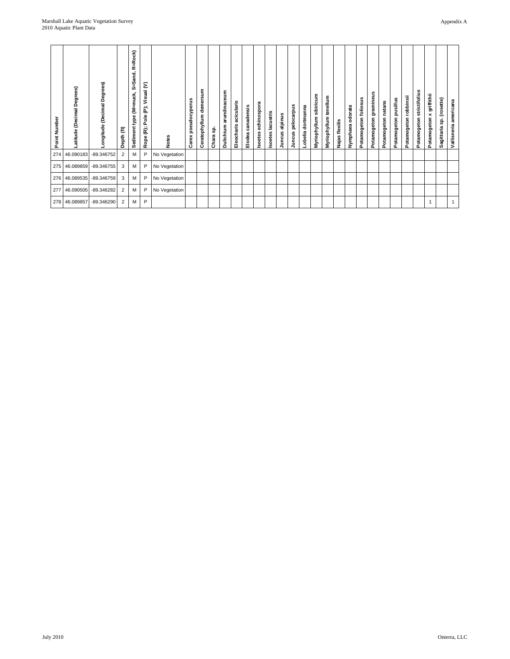| Point Number | (Decimal Degrees)<br>Latitude | Degrees)<br>ongitude (Decimal | Depth (ft)     | R=Rock)<br>S=Sand<br>type (M=muck,<br>Sediment | ε<br>Visual<br>Ë<br>e<br>Pole<br>Rope (R); | <b>Notes</b>  | pseudocyperus<br>Carex | demersum<br>Ceratophyllum | Chara sp | arundinaceum<br>Dulichium | acicularis<br>Eleocharis | canadensis<br>Elodea | echinospora<br>soetes | <b>Isoetes lacustris</b> | alpinus<br>Juncus | pelocarpus<br>Juncus | dortmanna<br>Lobelia | sibiricum<br>Myriophyllum | tenellum<br>Myriophyllum | flexilis<br>Najas | Nymphaea odorata | Potamogeton follosus | gramineus<br>Potamogeton | Potamogeton natans | Potamogeton pusillus | robbinsii<br>Potamogeton | strictifolius<br>Potamogeton | griffithii<br>×<br>Potamogeton | (rosette)<br>င္တ<br>Sagittaria | Vallisneria americana |
|--------------|-------------------------------|-------------------------------|----------------|------------------------------------------------|--------------------------------------------|---------------|------------------------|---------------------------|----------|---------------------------|--------------------------|----------------------|-----------------------|--------------------------|-------------------|----------------------|----------------------|---------------------------|--------------------------|-------------------|------------------|----------------------|--------------------------|--------------------|----------------------|--------------------------|------------------------------|--------------------------------|--------------------------------|-----------------------|
| 274          | 46.090183                     | -89.346752                    | $\overline{2}$ | M                                              | P                                          | No Vegetation |                        |                           |          |                           |                          |                      |                       |                          |                   |                      |                      |                           |                          |                   |                  |                      |                          |                    |                      |                          |                              |                                |                                |                       |
| 275          | 46.089859                     | -89.346755                    | 3              | M                                              | P                                          | No Vegetation |                        |                           |          |                           |                          |                      |                       |                          |                   |                      |                      |                           |                          |                   |                  |                      |                          |                    |                      |                          |                              |                                |                                |                       |
| 276          | 46.089535                     | -89.346759                    | 3              | M                                              | P                                          | No Vegetation |                        |                           |          |                           |                          |                      |                       |                          |                   |                      |                      |                           |                          |                   |                  |                      |                          |                    |                      |                          |                              |                                |                                |                       |
| 277          | 46.090505                     | -89.346282                    | 2              | M                                              | P                                          | No Vegetation |                        |                           |          |                           |                          |                      |                       |                          |                   |                      |                      |                           |                          |                   |                  |                      |                          |                    |                      |                          |                              |                                |                                |                       |
| 278          | 46.089857                     | -89.346290                    | 2              | M                                              | P                                          |               |                        |                           |          |                           |                          |                      |                       |                          |                   |                      |                      |                           |                          |                   |                  |                      |                          |                    |                      |                          |                              |                                |                                | $\mathbf{1}$          |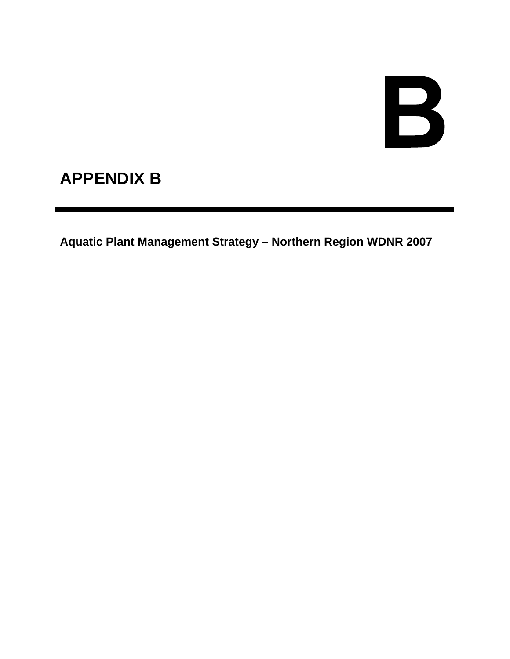# B

# **APPENDIX B**

**Aquatic Plant Management Strategy – Northern Region WDNR 2007**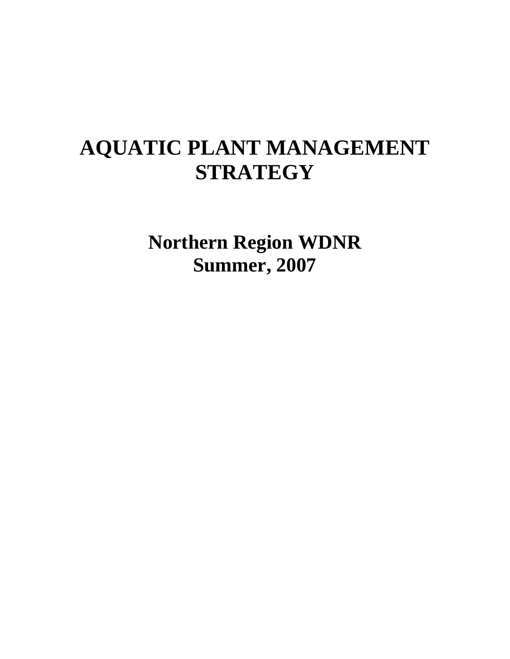# **AQUATIC PLANT MANAGEMENT STRATEGY**

**Northern Region WDNR Summer, 2007**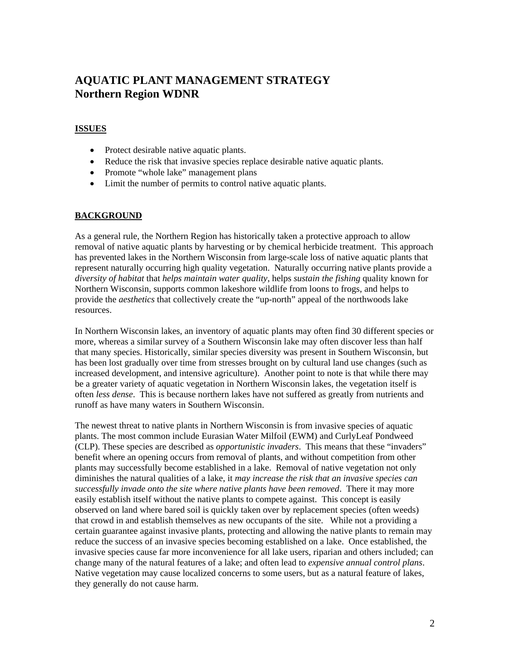#### **ISSUES**

- Protect desirable native aquatic plants.
- Reduce the risk that invasive species replace desirable native aquatic plants.
- Promote "whole lake" management plans
- Limit the number of permits to control native aquatic plants.

## **BACKGROUND**

As a general rule, the Northern Region has historically taken a protective approach to allow removal of native aquatic plants by harvesting or by chemical herbicide treatment. This approach has prevented lakes in the Northern Wisconsin from large-scale loss of native aquatic plants that represent naturally occurring high quality vegetation. Naturally occurring native plants provide a *diversity of habitat* that *helps maintain water quality*, helps *sustain the fishing* quality known for Northern Wisconsin, supports common lakeshore wildlife from loons to frogs, and helps to provide the *aesthetics* that collectively create the "up-north" appeal of the northwoods lake resources.

In Northern Wisconsin lakes, an inventory of aquatic plants may often find 30 different species or more, whereas a similar survey of a Southern Wisconsin lake may often discover less than half that many species. Historically, similar species diversity was present in Southern Wisconsin, but has been lost gradually over time from stresses brought on by cultural land use changes (such as increased development, and intensive agriculture). Another point to note is that while there may be a greater variety of aquatic vegetation in Northern Wisconsin lakes, the vegetation itself is often *less dense*. This is because northern lakes have not suffered as greatly from nutrients and runoff as have many waters in Southern Wisconsin.

The newest threat to native plants in Northern Wisconsin is from invasive species of aquatic plants. The most common include Eurasian Water Milfoil (EWM) and CurlyLeaf Pondweed (CLP). These species are described as *opportunistic invaders*. This means that these "invaders" benefit where an opening occurs from removal of plants, and without competition from other plants may successfully become established in a lake. Removal of native vegetation not only diminishes the natural qualities of a lake, it *may increase the risk that an invasive species can successfully invade onto the site where native plants have been removed*. There it may more easily establish itself without the native plants to compete against. This concept is easily observed on land where bared soil is quickly taken over by replacement species (often weeds) that crowd in and establish themselves as new occupants of the site. While not a providing a certain guarantee against invasive plants, protecting and allowing the native plants to remain may reduce the success of an invasive species becoming established on a lake. Once established, the invasive species cause far more inconvenience for all lake users, riparian and others included; can change many of the natural features of a lake; and often lead to *expensive annual control plans*. Native vegetation may cause localized concerns to some users, but as a natural feature of lakes, they generally do not cause harm.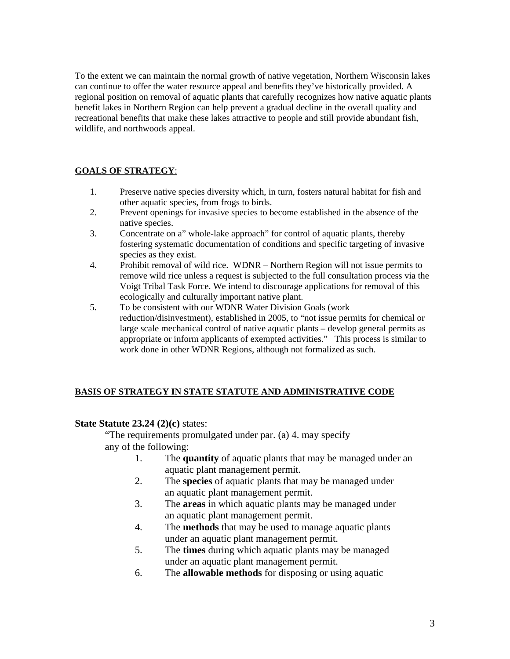To the extent we can maintain the normal growth of native vegetation, Northern Wisconsin lakes can continue to offer the water resource appeal and benefits they've historically provided. A regional position on removal of aquatic plants that carefully recognizes how native aquatic plants benefit lakes in Northern Region can help prevent a gradual decline in the overall quality and recreational benefits that make these lakes attractive to people and still provide abundant fish, wildlife, and northwoods appeal.

## **GOALS OF STRATEGY**:

- 1. Preserve native species diversity which, in turn, fosters natural habitat for fish and other aquatic species, from frogs to birds.
- 2. Prevent openings for invasive species to become established in the absence of the native species.
- 3. Concentrate on a" whole-lake approach" for control of aquatic plants, thereby fostering systematic documentation of conditions and specific targeting of invasive species as they exist.
- 4. Prohibit removal of wild rice. WDNR Northern Region will not issue permits to remove wild rice unless a request is subjected to the full consultation process via the Voigt Tribal Task Force. We intend to discourage applications for removal of this ecologically and culturally important native plant.
- 5. To be consistent with our WDNR Water Division Goals (work reduction/disinvestment), established in 2005, to "not issue permits for chemical or large scale mechanical control of native aquatic plants – develop general permits as appropriate or inform applicants of exempted activities." This process is similar to work done in other WDNR Regions, although not formalized as such.

## **BASIS OF STRATEGY IN STATE STATUTE AND ADMINISTRATIVE CODE**

## **State Statute 23.24 (2)(c)** states:

"The requirements promulgated under par. (a) 4. may specify any of the following:

- 1. The **quantity** of aquatic plants that may be managed under an aquatic plant management permit.
- 2. The **species** of aquatic plants that may be managed under an aquatic plant management permit.
- 3. The **areas** in which aquatic plants may be managed under an aquatic plant management permit.
- 4. The **methods** that may be used to manage aquatic plants under an aquatic plant management permit.
- 5. The **times** during which aquatic plants may be managed under an aquatic plant management permit.
- 6. The **allowable methods** for disposing or using aquatic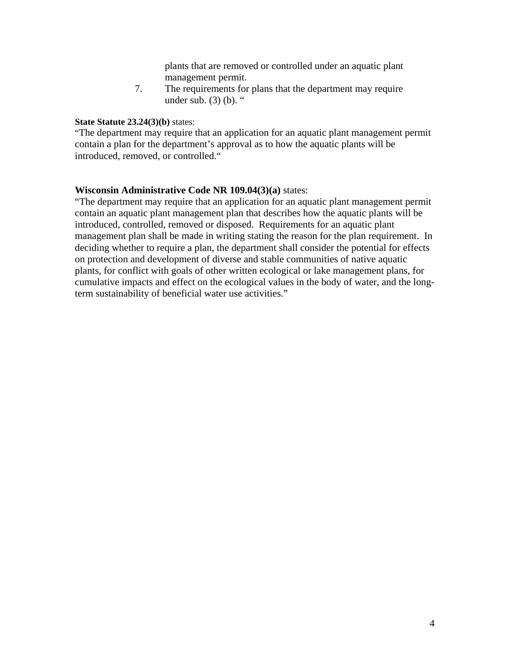plants that are removed or controlled under an aquatic plant management permit.

7. The requirements for plans that the department may require under sub.  $(3)$  (b). "

#### **State Statute 23.24(3)(b)** states:

"The department may require that an application for an aquatic plant management permit contain a plan for the department's approval as to how the aquatic plants will be introduced, removed, or controlled."

## **Wisconsin Administrative Code NR 109.04(3)(a)** states:

"The department may require that an application for an aquatic plant management permit contain an aquatic plant management plan that describes how the aquatic plants will be introduced, controlled, removed or disposed. Requirements for an aquatic plant management plan shall be made in writing stating the reason for the plan requirement. In deciding whether to require a plan, the department shall consider the potential for effects on protection and development of diverse and stable communities of native aquatic plants, for conflict with goals of other written ecological or lake management plans, for cumulative impacts and effect on the ecological values in the body of water, and the longterm sustainability of beneficial water use activities."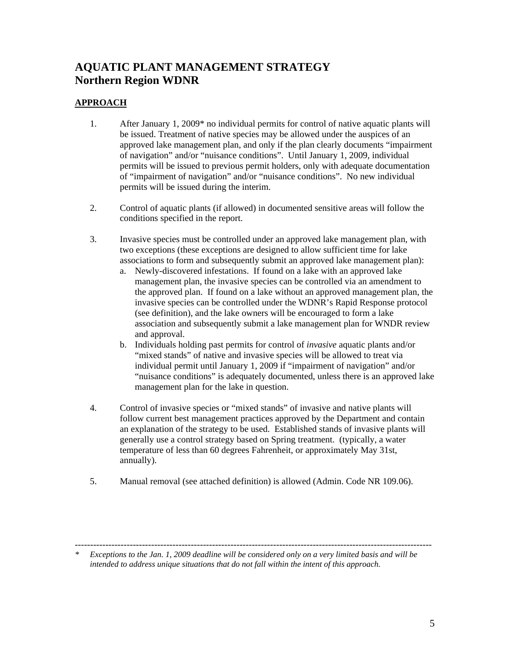## **APPROACH**

- 1. After January 1, 2009\* no individual permits for control of native aquatic plants will be issued. Treatment of native species may be allowed under the auspices of an approved lake management plan, and only if the plan clearly documents "impairment of navigation" and/or "nuisance conditions". Until January 1, 2009, individual permits will be issued to previous permit holders, only with adequate documentation of "impairment of navigation" and/or "nuisance conditions". No new individual permits will be issued during the interim.
- 2. Control of aquatic plants (if allowed) in documented sensitive areas will follow the conditions specified in the report.
- 3. Invasive species must be controlled under an approved lake management plan, with two exceptions (these exceptions are designed to allow sufficient time for lake associations to form and subsequently submit an approved lake management plan):
	- a. Newly-discovered infestations. If found on a lake with an approved lake management plan, the invasive species can be controlled via an amendment to the approved plan. If found on a lake without an approved management plan, the invasive species can be controlled under the WDNR's Rapid Response protocol (see definition), and the lake owners will be encouraged to form a lake association and subsequently submit a lake management plan for WNDR review and approval.
	- b. Individuals holding past permits for control of *invasive* aquatic plants and/or "mixed stands" of native and invasive species will be allowed to treat via individual permit until January 1, 2009 if "impairment of navigation" and/or "nuisance conditions" is adequately documented, unless there is an approved lake management plan for the lake in question.
- 4. Control of invasive species or "mixed stands" of invasive and native plants will follow current best management practices approved by the Department and contain an explanation of the strategy to be used. Established stands of invasive plants will generally use a control strategy based on Spring treatment. (typically, a water temperature of less than 60 degrees Fahrenheit, or approximately May 31st, annually).
- 5. Manual removal (see attached definition) is allowed (Admin. Code NR 109.06).

<sup>---------------------------------------------------------------------------------------------------------------------</sup>  *\* Exceptions to the Jan. 1, 2009 deadline will be considered only on a very limited basis and will be* 

*intended to address unique situations that do not fall within the intent of this approach.*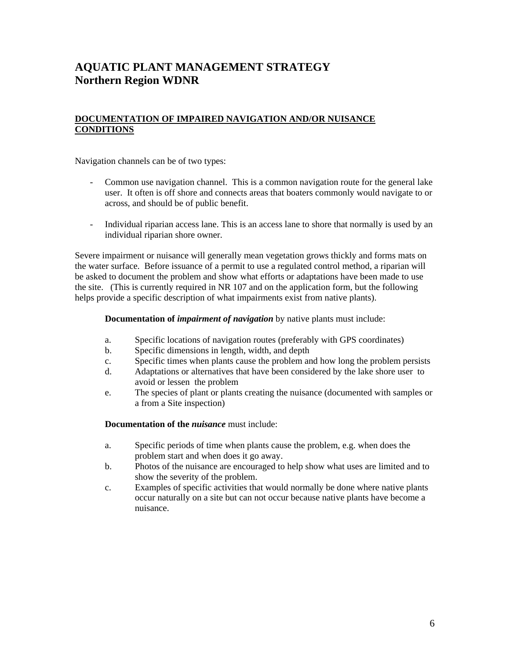## **DOCUMENTATION OF IMPAIRED NAVIGATION AND/OR NUISANCE CONDITIONS**

Navigation channels can be of two types:

- Common use navigation channel. This is a common navigation route for the general lake user. It often is off shore and connects areas that boaters commonly would navigate to or across, and should be of public benefit.
- Individual riparian access lane. This is an access lane to shore that normally is used by an individual riparian shore owner.

 Severe impairment or nuisance will generally mean vegetation grows thickly and forms mats on the water surface. Before issuance of a permit to use a regulated control method, a riparian will be asked to document the problem and show what efforts or adaptations have been made to use the site. (This is currently required in NR 107 and on the application form, but the following helps provide a specific description of what impairments exist from native plants).

**Documentation of** *impairment of navigation* by native plants must include:

- a. Specific locations of navigation routes (preferably with GPS coordinates)
- b. Specific dimensions in length, width, and depth
- c. Specific times when plants cause the problem and how long the problem persists
- d. Adaptations or alternatives that have been considered by the lake shore user to avoid or lessen the problem
- e. The species of plant or plants creating the nuisance (documented with samples or a from a Site inspection)

**Documentation of the** *nuisance* must include:

- a. Specific periods of time when plants cause the problem, e.g. when does the problem start and when does it go away.
- b. Photos of the nuisance are encouraged to help show what uses are limited and to show the severity of the problem.
- c. Examples of specific activities that would normally be done where native plants occur naturally on a site but can not occur because native plants have become a nuisance.